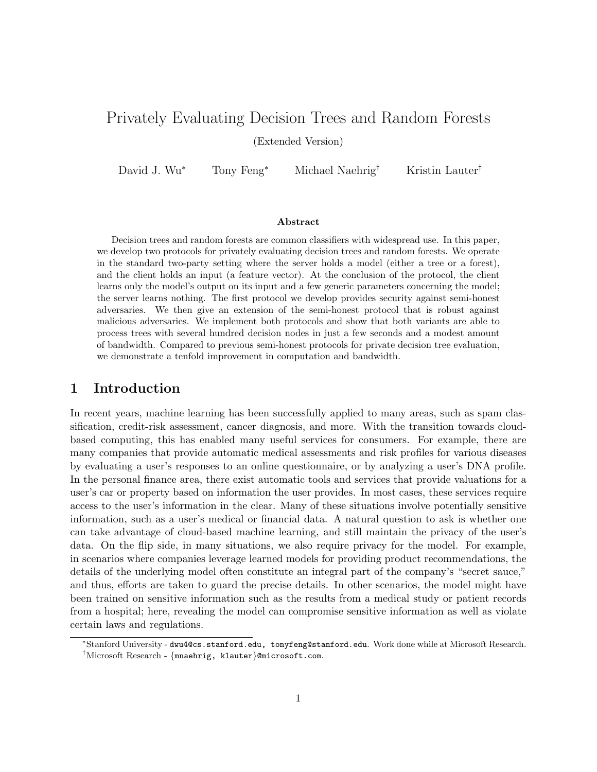# Privately Evaluating Decision Trees and Random Forests

(Extended Version)

David J. Wu<sup>∗</sup> Tony Feng<sup>∗</sup> Michael Naehrig† Kristin Lauter†

#### Abstract

Decision trees and random forests are common classifiers with widespread use. In this paper, we develop two protocols for privately evaluating decision trees and random forests. We operate in the standard two-party setting where the server holds a model (either a tree or a forest), and the client holds an input (a feature vector). At the conclusion of the protocol, the client learns only the model's output on its input and a few generic parameters concerning the model; the server learns nothing. The first protocol we develop provides security against semi-honest adversaries. We then give an extension of the semi-honest protocol that is robust against malicious adversaries. We implement both protocols and show that both variants are able to process trees with several hundred decision nodes in just a few seconds and a modest amount of bandwidth. Compared to previous semi-honest protocols for private decision tree evaluation, we demonstrate a tenfold improvement in computation and bandwidth.

### 1 Introduction

In recent years, machine learning has been successfully applied to many areas, such as spam classification, credit-risk assessment, cancer diagnosis, and more. With the transition towards cloudbased computing, this has enabled many useful services for consumers. For example, there are many companies that provide automatic medical assessments and risk profiles for various diseases by evaluating a user's responses to an online questionnaire, or by analyzing a user's DNA profile. In the personal finance area, there exist automatic tools and services that provide valuations for a user's car or property based on information the user provides. In most cases, these services require access to the user's information in the clear. Many of these situations involve potentially sensitive information, such as a user's medical or financial data. A natural question to ask is whether one can take advantage of cloud-based machine learning, and still maintain the privacy of the user's data. On the flip side, in many situations, we also require privacy for the model. For example, in scenarios where companies leverage learned models for providing product recommendations, the details of the underlying model often constitute an integral part of the company's "secret sauce," and thus, efforts are taken to guard the precise details. In other scenarios, the model might have been trained on sensitive information such as the results from a medical study or patient records from a hospital; here, revealing the model can compromise sensitive information as well as violate certain laws and regulations.

<sup>∗</sup>Stanford University - dwu4@cs.stanford.edu, tonyfeng@stanford.edu. Work done while at Microsoft Research. †Microsoft Research - {mnaehrig, klauter}@microsoft.com.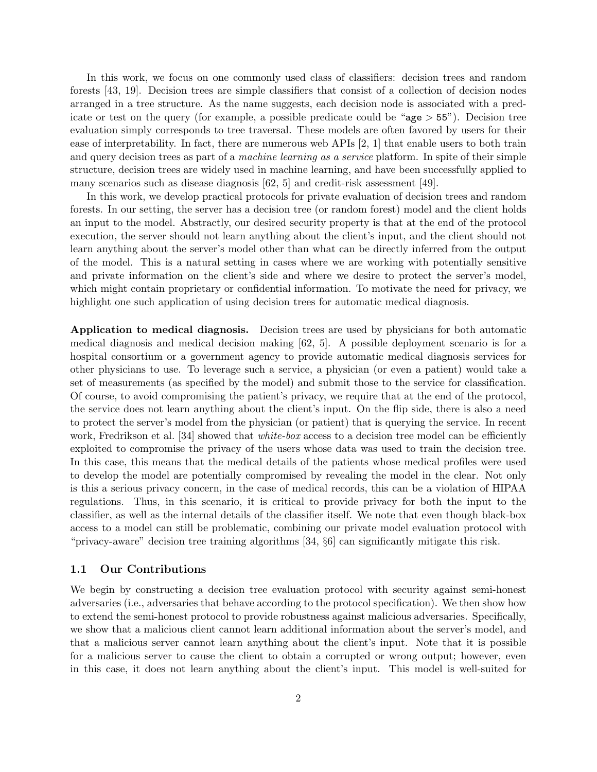In this work, we focus on one commonly used class of classifiers: decision trees and random forests [\[43,](#page-26-0) [19\]](#page-24-0). Decision trees are simple classifiers that consist of a collection of decision nodes arranged in a tree structure. As the name suggests, each decision node is associated with a predicate or test on the query (for example, a possible predicate could be " $a\geq 55$ "). Decision tree evaluation simply corresponds to tree traversal. These models are often favored by users for their ease of interpretability. In fact, there are numerous web APIs [\[2,](#page-23-0) [1\]](#page-23-1) that enable users to both train and query decision trees as part of a *machine learning as a service* platform. In spite of their simple structure, decision trees are widely used in machine learning, and have been successfully applied to many scenarios such as disease diagnosis [\[62,](#page-27-0) [5\]](#page-24-1) and credit-risk assessment [\[49\]](#page-26-1).

In this work, we develop practical protocols for private evaluation of decision trees and random forests. In our setting, the server has a decision tree (or random forest) model and the client holds an input to the model. Abstractly, our desired security property is that at the end of the protocol execution, the server should not learn anything about the client's input, and the client should not learn anything about the server's model other than what can be directly inferred from the output of the model. This is a natural setting in cases where we are working with potentially sensitive and private information on the client's side and where we desire to protect the server's model, which might contain proprietary or confidential information. To motivate the need for privacy, we highlight one such application of using decision trees for automatic medical diagnosis.

Application to medical diagnosis. Decision trees are used by physicians for both automatic medical diagnosis and medical decision making [\[62,](#page-27-0) [5\]](#page-24-1). A possible deployment scenario is for a hospital consortium or a government agency to provide automatic medical diagnosis services for other physicians to use. To leverage such a service, a physician (or even a patient) would take a set of measurements (as specified by the model) and submit those to the service for classification. Of course, to avoid compromising the patient's privacy, we require that at the end of the protocol, the service does not learn anything about the client's input. On the flip side, there is also a need to protect the server's model from the physician (or patient) that is querying the service. In recent work, Fredrikson et al. [\[34\]](#page-25-0) showed that *white-box* access to a decision tree model can be efficiently exploited to compromise the privacy of the users whose data was used to train the decision tree. In this case, this means that the medical details of the patients whose medical profiles were used to develop the model are potentially compromised by revealing the model in the clear. Not only is this a serious privacy concern, in the case of medical records, this can be a violation of HIPAA regulations. Thus, in this scenario, it is critical to provide privacy for both the input to the classifier, as well as the internal details of the classifier itself. We note that even though black-box access to a model can still be problematic, combining our private model evaluation protocol with "privacy-aware" decision tree training algorithms [\[34,](#page-25-0) §6] can significantly mitigate this risk.

#### 1.1 Our Contributions

We begin by constructing a decision tree evaluation protocol with security against semi-honest adversaries (i.e., adversaries that behave according to the protocol specification). We then show how to extend the semi-honest protocol to provide robustness against malicious adversaries. Specifically, we show that a malicious client cannot learn additional information about the server's model, and that a malicious server cannot learn anything about the client's input. Note that it is possible for a malicious server to cause the client to obtain a corrupted or wrong output; however, even in this case, it does not learn anything about the client's input. This model is well-suited for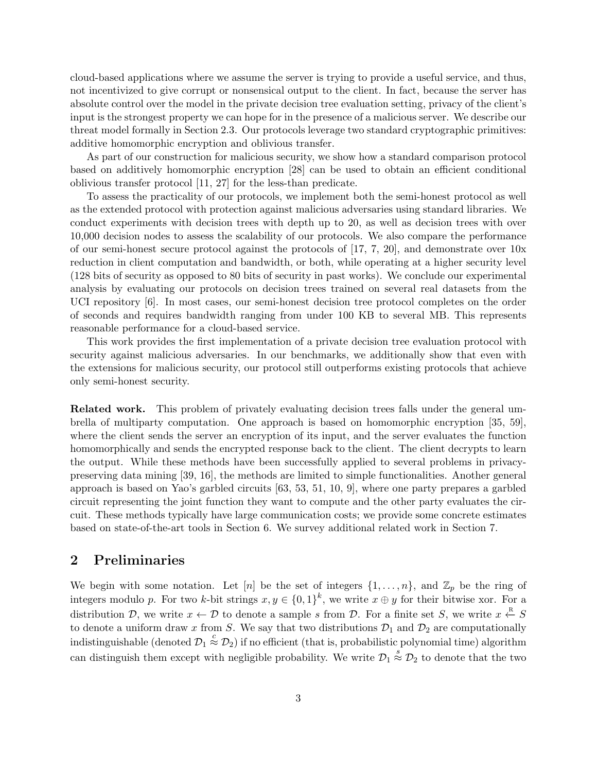cloud-based applications where we assume the server is trying to provide a useful service, and thus, not incentivized to give corrupt or nonsensical output to the client. In fact, because the server has absolute control over the model in the private decision tree evaluation setting, privacy of the client's input is the strongest property we can hope for in the presence of a malicious server. We describe our threat model formally in Section [2.3.](#page-4-0) Our protocols leverage two standard cryptographic primitives: additive homomorphic encryption and oblivious transfer.

As part of our construction for malicious security, we show how a standard comparison protocol based on additively homomorphic encryption [\[28\]](#page-25-1) can be used to obtain an efficient conditional oblivious transfer protocol [\[11,](#page-24-2) [27\]](#page-25-2) for the less-than predicate.

To assess the practicality of our protocols, we implement both the semi-honest protocol as well as the extended protocol with protection against malicious adversaries using standard libraries. We conduct experiments with decision trees with depth up to 20, as well as decision trees with over 10,000 decision nodes to assess the scalability of our protocols. We also compare the performance of our semi-honest secure protocol against the protocols of [\[17,](#page-24-3) [7,](#page-24-4) [20\]](#page-24-5), and demonstrate over 10x reduction in client computation and bandwidth, or both, while operating at a higher security level (128 bits of security as opposed to 80 bits of security in past works). We conclude our experimental analysis by evaluating our protocols on decision trees trained on several real datasets from the UCI repository [\[6\]](#page-24-6). In most cases, our semi-honest decision tree protocol completes on the order of seconds and requires bandwidth ranging from under 100 KB to several MB. This represents reasonable performance for a cloud-based service.

This work provides the first implementation of a private decision tree evaluation protocol with security against malicious adversaries. In our benchmarks, we additionally show that even with the extensions for malicious security, our protocol still outperforms existing protocols that achieve only semi-honest security.

Related work. This problem of privately evaluating decision trees falls under the general umbrella of multiparty computation. One approach is based on homomorphic encryption [\[35,](#page-25-3) [59\]](#page-27-1), where the client sends the server an encryption of its input, and the server evaluates the function homomorphically and sends the encrypted response back to the client. The client decrypts to learn the output. While these methods have been successfully applied to several problems in privacypreserving data mining [\[39,](#page-25-4) [16\]](#page-24-7), the methods are limited to simple functionalities. Another general approach is based on Yao's garbled circuits [\[63,](#page-27-2) [53,](#page-26-2) [51,](#page-26-3) [10,](#page-24-8) [9\]](#page-24-9), where one party prepares a garbled circuit representing the joint function they want to compute and the other party evaluates the circuit. These methods typically have large communication costs; we provide some concrete estimates based on state-of-the-art tools in Section [6.](#page-15-0) We survey additional related work in Section [7.](#page-22-0)

### 2 Preliminaries

We begin with some notation. Let  $[n]$  be the set of integers  $\{1,\ldots,n\}$ , and  $\mathbb{Z}_p$  be the ring of integers modulo p. For two k-bit strings  $x, y \in \{0,1\}^k$ , we write  $x \oplus y$  for their bitwise xor. For a distribution D, we write  $x \leftarrow D$  to denote a sample s from D. For a finite set S, we write  $x \stackrel{R}{\leftarrow} S$ to denote a uniform draw x from S. We say that two distributions  $\mathcal{D}_1$  and  $\mathcal{D}_2$  are computationally indistinguishable (denoted  $\mathcal{D}_1 \stackrel{c}{\approx} \mathcal{D}_2$ ) if no efficient (that is, probabilistic polynomial time) algorithm can distinguish them except with negligible probability. We write  $\mathcal{D}_1 \stackrel{s}{\approx} \mathcal{D}_2$  to denote that the two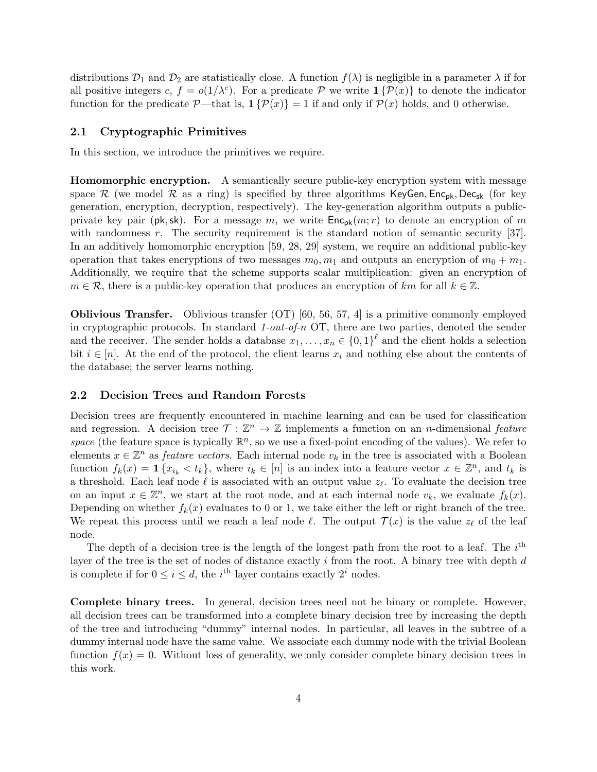distributions  $\mathcal{D}_1$  and  $\mathcal{D}_2$  are statistically close. A function  $f(\lambda)$  is negligible in a parameter  $\lambda$  if for all positive integers c,  $f = o(1/\lambda^c)$ . For a predicate P we write  $\mathbf{1}\{\mathcal{P}(x)\}\)$  to denote the indicator function for the predicate  $\mathcal{P}$ —that is,  $\mathbf{1}\{\mathcal{P}(x)\} = 1$  if and only if  $\mathcal{P}(x)$  holds, and 0 otherwise.

#### 2.1 Cryptographic Primitives

In this section, we introduce the primitives we require.

**Homomorphic encryption.** A semantically secure public-key encryption system with message space R (we model R as a ring) is specified by three algorithms KeyGen,  $Enc_{pk}$ , Dec<sub>sk</sub> (for key generation, encryption, decryption, respectively). The key-generation algorithm outputs a publicprivate key pair (pk, sk). For a message m, we write  $\mathsf{Enc}_{\mathsf{pk}}(m; r)$  to denote an encryption of m with randomness r. The security requirement is the standard notion of semantic security  $|37|$ . In an additively homomorphic encryption [\[59,](#page-27-1) [28,](#page-25-1) [29\]](#page-25-6) system, we require an additional public-key operation that takes encryptions of two messages  $m_0, m_1$  and outputs an encryption of  $m_0 + m_1$ . Additionally, we require that the scheme supports scalar multiplication: given an encryption of  $m \in \mathcal{R}$ , there is a public-key operation that produces an encryption of km for all  $k \in \mathbb{Z}$ .

Oblivious Transfer. Oblivious transfer (OT) [\[60,](#page-27-3) [56,](#page-26-4) [57,](#page-26-5) [4\]](#page-23-2) is a primitive commonly employed in cryptographic protocols. In standard 1-out-of-n OT, there are two parties, denoted the sender and the receiver. The sender holds a database  $x_1, \ldots, x_n \in \{0,1\}^{\ell}$  and the client holds a selection bit  $i \in [n]$ . At the end of the protocol, the client learns  $x_i$  and nothing else about the contents of the database; the server learns nothing.

#### <span id="page-3-0"></span>2.2 Decision Trees and Random Forests

Decision trees are frequently encountered in machine learning and can be used for classification and regression. A decision tree  $\mathcal{T} : \mathbb{Z}^n \to \mathbb{Z}$  implements a function on an *n*-dimensional *feature* space (the feature space is typically  $\mathbb{R}^n$ , so we use a fixed-point encoding of the values). We refer to elements  $x \in \mathbb{Z}^n$  as *feature vectors*. Each internal node  $v_k$  in the tree is associated with a Boolean function  $f_k(x) = \mathbf{1} \{x_{i_k} < t_k\}$ , where  $i_k \in [n]$  is an index into a feature vector  $x \in \mathbb{Z}^n$ , and  $t_k$  is a threshold. Each leaf node  $\ell$  is associated with an output value  $z_{\ell}$ . To evaluate the decision tree on an input  $x \in \mathbb{Z}^n$ , we start at the root node, and at each internal node  $v_k$ , we evaluate  $f_k(x)$ . Depending on whether  $f_k(x)$  evaluates to 0 or 1, we take either the left or right branch of the tree. We repeat this process until we reach a leaf node  $\ell$ . The output  $\mathcal{T}(x)$  is the value  $z_{\ell}$  of the leaf node.

The depth of a decision tree is the length of the longest path from the root to a leaf. The  $i^{\text{th}}$ layer of the tree is the set of nodes of distance exactly  $i$  from the root. A binary tree with depth  $d$ is complete if for  $0 \leq i \leq d$ , the *i*<sup>th</sup> layer contains exactly  $2<sup>i</sup>$  nodes.

Complete binary trees. In general, decision trees need not be binary or complete. However, all decision trees can be transformed into a complete binary decision tree by increasing the depth of the tree and introducing "dummy" internal nodes. In particular, all leaves in the subtree of a dummy internal node have the same value. We associate each dummy node with the trivial Boolean function  $f(x) = 0$ . Without loss of generality, we only consider complete binary decision trees in this work.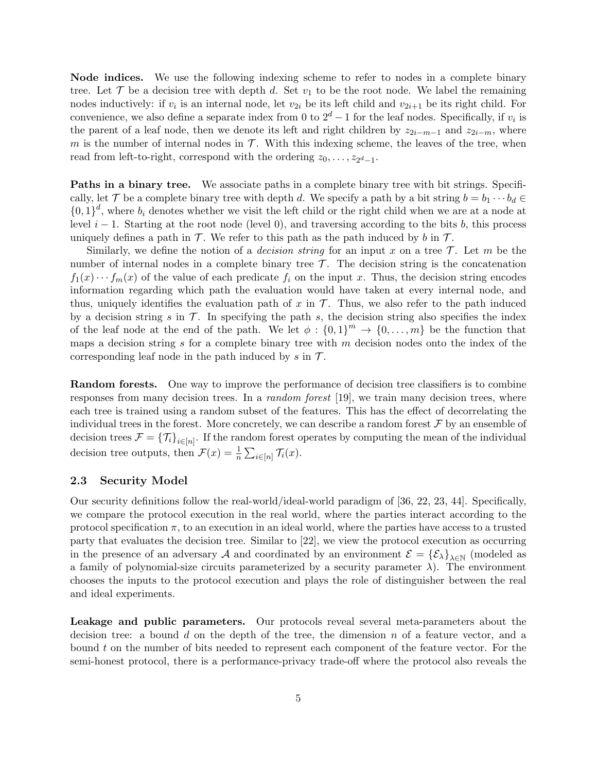Node indices. We use the following indexing scheme to refer to nodes in a complete binary tree. Let  $\mathcal T$  be a decision tree with depth d. Set  $v_1$  to be the root node. We label the remaining nodes inductively: if  $v_i$  is an internal node, let  $v_{2i}$  be its left child and  $v_{2i+1}$  be its right child. For convenience, we also define a separate index from 0 to  $2^d - 1$  for the leaf nodes. Specifically, if  $v_i$  is the parent of a leaf node, then we denote its left and right children by  $z_{2i-m-1}$  and  $z_{2i-m}$ , where m is the number of internal nodes in  $\mathcal T$ . With this indexing scheme, the leaves of the tree, when read from left-to-right, correspond with the ordering  $z_0, \ldots, z_{2^d-1}$ .

Paths in a binary tree. We associate paths in a complete binary tree with bit strings. Specifically, let T be a complete binary tree with depth d. We specify a path by a bit string  $b = b_1 \cdots b_d \in$  ${0,1}^d$ , where  $b_i$  denotes whether we visit the left child or the right child when we are at a node at level  $i - 1$ . Starting at the root node (level 0), and traversing according to the bits b, this process uniquely defines a path in  $\mathcal T$ . We refer to this path as the path induced by b in  $\mathcal T$ .

Similarly, we define the notion of a *decision string* for an input x on a tree  $\mathcal{T}$ . Let m be the number of internal nodes in a complete binary tree  $\mathcal{T}$ . The decision string is the concatenation  $f_1(x) \cdots f_m(x)$  of the value of each predicate  $f_i$  on the input x. Thus, the decision string encodes information regarding which path the evaluation would have taken at every internal node, and thus, uniquely identifies the evaluation path of x in  $\mathcal T$ . Thus, we also refer to the path induced by a decision string s in  $\mathcal T$ . In specifying the path s, the decision string also specifies the index of the leaf node at the end of the path. We let  $\phi: \{0,1\}^m \to \{0,\ldots,m\}$  be the function that maps a decision string  $s$  for a complete binary tree with  $m$  decision nodes onto the index of the corresponding leaf node in the path induced by s in  $\mathcal{T}$ .

Random forests. One way to improve the performance of decision tree classifiers is to combine responses from many decision trees. In a *random forest* [\[19\]](#page-24-0), we train many decision trees, where each tree is trained using a random subset of the features. This has the effect of decorrelating the individual trees in the forest. More concretely, we can describe a random forest  $\mathcal F$  by an ensemble of decision trees  $\mathcal{F} = \{\mathcal{T}_i\}_{i \in [n]}$ . If the random forest operates by computing the mean of the individual decision tree outputs, then  $\mathcal{F}(x) = \frac{1}{n} \sum_{i \in [n]} \mathcal{T}_i(x)$ .

#### <span id="page-4-0"></span>2.3 Security Model

Our security definitions follow the real-world/ideal-world paradigm of [\[36,](#page-25-7) [22,](#page-24-10) [23,](#page-25-8) [44\]](#page-26-6). Specifically, we compare the protocol execution in the real world, where the parties interact according to the protocol specification  $\pi$ , to an execution in an ideal world, where the parties have access to a trusted party that evaluates the decision tree. Similar to [\[22\]](#page-24-10), we view the protocol execution as occurring in the presence of an adversary A and coordinated by an environment  $\mathcal{E} = \{\mathcal{E}_{\lambda}\}_{\lambda \in \mathbb{N}}$  (modeled as a family of polynomial-size circuits parameterized by a security parameter  $\lambda$ ). The environment chooses the inputs to the protocol execution and plays the role of distinguisher between the real and ideal experiments.

Leakage and public parameters. Our protocols reveal several meta-parameters about the decision tree: a bound d on the depth of the tree, the dimension  $n$  of a feature vector, and a bound  $t$  on the number of bits needed to represent each component of the feature vector. For the semi-honest protocol, there is a performance-privacy trade-off where the protocol also reveals the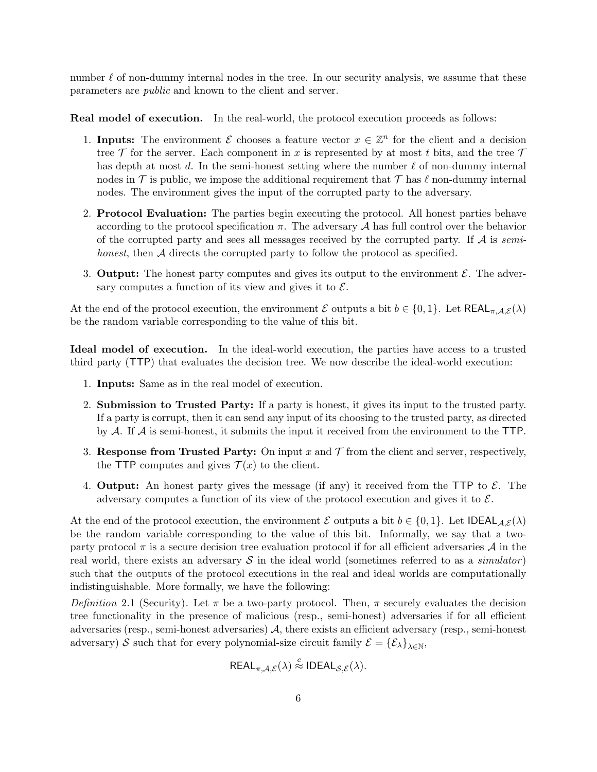number  $\ell$  of non-dummy internal nodes in the tree. In our security analysis, we assume that these parameters are public and known to the client and server.

Real model of execution. In the real-world, the protocol execution proceeds as follows:

- 1. Inputs: The environment  $\mathcal E$  chooses a feature vector  $x \in \mathbb Z^n$  for the client and a decision tree  $\mathcal T$  for the server. Each component in x is represented by at most t bits, and the tree  $\mathcal T$ has depth at most d. In the semi-honest setting where the number  $\ell$  of non-dummy internal nodes in  $\mathcal T$  is public, we impose the additional requirement that  $\mathcal T$  has  $\ell$  non-dummy internal nodes. The environment gives the input of the corrupted party to the adversary.
- 2. Protocol Evaluation: The parties begin executing the protocol. All honest parties behave according to the protocol specification  $\pi$ . The adversary A has full control over the behavior of the corrupted party and sees all messages received by the corrupted party. If  $A$  is semihonest, then A directs the corrupted party to follow the protocol as specified.
- 3. Output: The honest party computes and gives its output to the environment  $\mathcal{E}$ . The adversary computes a function of its view and gives it to  $\mathcal{E}$ .

At the end of the protocol execution, the environment E outputs a bit  $b \in \{0,1\}$ . Let  $\text{REAL}_{\pi,\mathcal{A},\mathcal{E}}(\lambda)$ be the random variable corresponding to the value of this bit.

Ideal model of execution. In the ideal-world execution, the parties have access to a trusted third party (TTP) that evaluates the decision tree. We now describe the ideal-world execution:

- 1. Inputs: Same as in the real model of execution.
- 2. Submission to Trusted Party: If a party is honest, it gives its input to the trusted party. If a party is corrupt, then it can send any input of its choosing to the trusted party, as directed by  $A$ . If  $A$  is semi-honest, it submits the input it received from the environment to the TTP.
- 3. Response from Trusted Party: On input x and  $\mathcal T$  from the client and server, respectively, the TTP computes and gives  $\mathcal{T}(x)$  to the client.
- 4. **Output:** An honest party gives the message (if any) it received from the TTP to  $\mathcal{E}$ . The adversary computes a function of its view of the protocol execution and gives it to  $\mathcal{E}$ .

At the end of the protocol execution, the environment E outputs a bit  $b \in \{0,1\}$ . Let IDEAL $_{\mathcal{A},\mathcal{E}}(\lambda)$ be the random variable corresponding to the value of this bit. Informally, we say that a twoparty protocol  $\pi$  is a secure decision tree evaluation protocol if for all efficient adversaries  $\mathcal A$  in the real world, there exists an adversary  $\mathcal S$  in the ideal world (sometimes referred to as a *simulator*) such that the outputs of the protocol executions in the real and ideal worlds are computationally indistinguishable. More formally, we have the following:

<span id="page-5-0"></span>Definition 2.1 (Security). Let  $\pi$  be a two-party protocol. Then,  $\pi$  securely evaluates the decision tree functionality in the presence of malicious (resp., semi-honest) adversaries if for all efficient adversaries (resp., semi-honest adversaries) A, there exists an efficient adversary (resp., semi-honest adversary) S such that for every polynomial-size circuit family  $\mathcal{E} = \{ \mathcal{E}_{\lambda} \}_{\lambda \in \mathbb{N}}$ ,

$$
REAL_{\pi,\mathcal{A},\mathcal{E}}(\lambda) \stackrel{c}{\approx} IDEAL_{\mathcal{S},\mathcal{E}}(\lambda).
$$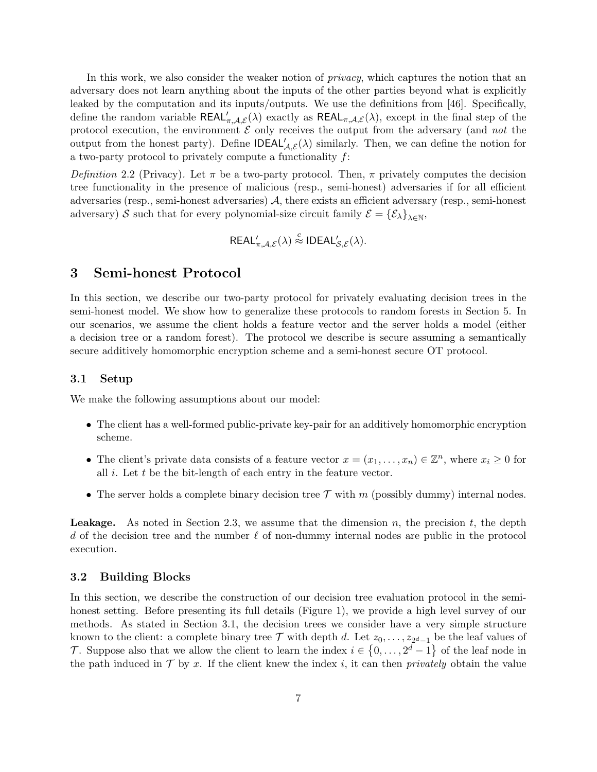In this work, we also consider the weaker notion of *privacy*, which captures the notion that an adversary does not learn anything about the inputs of the other parties beyond what is explicitly leaked by the computation and its inputs/outputs. We use the definitions from [\[46\]](#page-26-7). Specifically, define the random variable  $REAL'_{\pi,\mathcal{A},\mathcal{E}}(\lambda)$  exactly as  $REAL_{\pi,\mathcal{A},\mathcal{E}}(\lambda)$ , except in the final step of the protocol execution, the environment  $\mathcal E$  only receives the output from the adversary (and not the output from the honest party). Define  $\mathsf{IDEAL}_{\mathcal{A},\mathcal{E}}'(\lambda)$  similarly. Then, we can define the notion for a two-party protocol to privately compute a functionality f:

<span id="page-6-2"></span>Definition 2.2 (Privacy). Let  $\pi$  be a two-party protocol. Then,  $\pi$  privately computes the decision tree functionality in the presence of malicious (resp., semi-honest) adversaries if for all efficient adversaries (resp., semi-honest adversaries) A, there exists an efficient adversary (resp., semi-honest adversary) S such that for every polynomial-size circuit family  $\mathcal{E} = \{ \mathcal{E}_{\lambda} \}_{\lambda \in \mathbb{N}}$ ,

$$
\mathsf{REAL}_{\pi,\mathcal{A},\mathcal{E}}'(\lambda) \stackrel{c}{\approx} \mathsf{IDEAL}_{\mathcal{S},\mathcal{E}}'(\lambda).
$$

### 3 Semi-honest Protocol

In this section, we describe our two-party protocol for privately evaluating decision trees in the semi-honest model. We show how to generalize these protocols to random forests in Section [5.](#page-13-0) In our scenarios, we assume the client holds a feature vector and the server holds a model (either a decision tree or a random forest). The protocol we describe is secure assuming a semantically secure additively homomorphic encryption scheme and a semi-honest secure OT protocol.

#### <span id="page-6-0"></span>3.1 Setup

We make the following assumptions about our model:

- The client has a well-formed public-private key-pair for an additively homomorphic encryption scheme.
- The client's private data consists of a feature vector  $x = (x_1, \ldots, x_n) \in \mathbb{Z}^n$ , where  $x_i \geq 0$  for all  $i$ . Let  $t$  be the bit-length of each entry in the feature vector.
- The server holds a complete binary decision tree  $\mathcal T$  with  $m$  (possibly dummy) internal nodes.

**Leakage.** As noted in Section [2.3,](#page-4-0) we assume that the dimension n, the precision  $t$ , the depth d of the decision tree and the number  $\ell$  of non-dummy internal nodes are public in the protocol execution.

#### <span id="page-6-1"></span>3.2 Building Blocks

In this section, we describe the construction of our decision tree evaluation protocol in the semihonest setting. Before presenting its full details (Figure [1\)](#page-9-0), we provide a high level survey of our methods. As stated in Section [3.1,](#page-6-0) the decision trees we consider have a very simple structure known to the client: a complete binary tree  $\mathcal T$  with depth d. Let  $z_0, \ldots, z_{2^d-1}$  be the leaf values of T. Suppose also that we allow the client to learn the index  $i \in \{0, \ldots, 2^d-1\}$  of the leaf node in the path induced in  $\mathcal T$  by x. If the client knew the index i, it can then *privately* obtain the value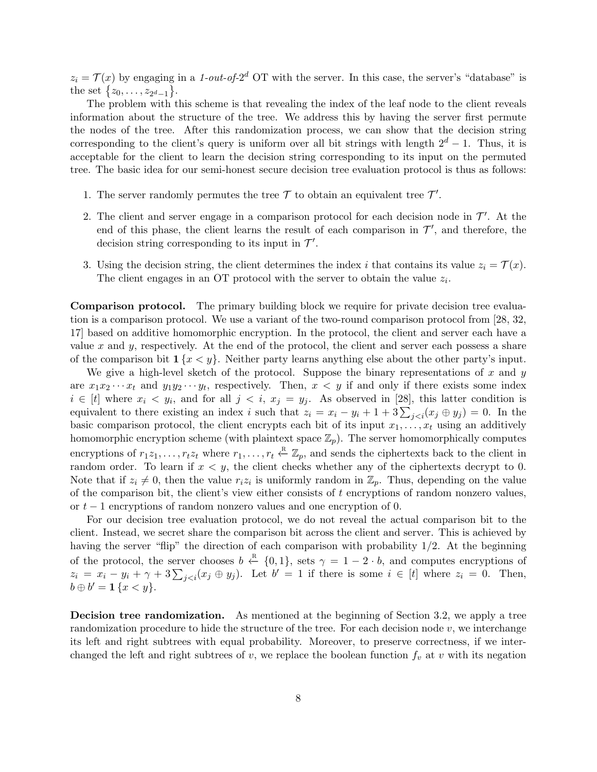$z_i = \mathcal{T}(x)$  by engaging in a 1-out-of-2<sup>d</sup> OT with the server. In this case, the server's "database" is the set  $\{z_0, \ldots, z_{2^d-1}\}.$ 

The problem with this scheme is that revealing the index of the leaf node to the client reveals information about the structure of the tree. We address this by having the server first permute the nodes of the tree. After this randomization process, we can show that the decision string corresponding to the client's query is uniform over all bit strings with length  $2^d - 1$ . Thus, it is acceptable for the client to learn the decision string corresponding to its input on the permuted tree. The basic idea for our semi-honest secure decision tree evaluation protocol is thus as follows:

- 1. The server randomly permutes the tree  $\mathcal T$  to obtain an equivalent tree  $\mathcal T'$ .
- 2. The client and server engage in a comparison protocol for each decision node in  $\mathcal{T}'$ . At the end of this phase, the client learns the result of each comparison in  $\mathcal{T}'$ , and therefore, the decision string corresponding to its input in  $\mathcal{T}'$ .
- 3. Using the decision string, the client determines the index i that contains its value  $z_i = \mathcal{T}(x)$ . The client engages in an OT protocol with the server to obtain the value  $z_i$ .

Comparison protocol. The primary building block we require for private decision tree evaluation is a comparison protocol. We use a variant of the two-round comparison protocol from [\[28,](#page-25-1) [32,](#page-25-9) [17\]](#page-24-3) based on additive homomorphic encryption. In the protocol, the client and server each have a value x and y, respectively. At the end of the protocol, the client and server each possess a share of the comparison bit  $\mathbf{1}\{x \leq y\}$ . Neither party learns anything else about the other party's input.

We give a high-level sketch of the protocol. Suppose the binary representations of x and y are  $x_1x_2 \cdots x_t$  and  $y_1y_2 \cdots y_t$ , respectively. Then,  $x < y$  if and only if there exists some index  $i \in [t]$  where  $x_i \leq y_i$ , and for all  $j \leq i$ ,  $x_j = y_j$ . As observed in [\[28\]](#page-25-1), this latter condition is equivalent to there existing an index i such that  $z_i = x_i - y_i + 1 + 3\sum_{j. In the$ basic comparison protocol, the client encrypts each bit of its input  $x_1, \ldots, x_t$  using an additively homomorphic encryption scheme (with plaintext space  $\mathbb{Z}_p$ ). The server homomorphically computes encryptions of  $r_1z_1, \ldots, r_tz_t$  where  $r_1, \ldots, r_t \stackrel{\text{R}}{\leftarrow} \mathbb{Z}_p$ , and sends the ciphertexts back to the client in random order. To learn if  $x < y$ , the client checks whether any of the ciphertexts decrypt to 0. Note that if  $z_i \neq 0$ , then the value  $r_i z_i$  is uniformly random in  $\mathbb{Z}_p$ . Thus, depending on the value of the comparison bit, the client's view either consists of t encryptions of random nonzero values, or  $t-1$  encryptions of random nonzero values and one encryption of 0.

For our decision tree evaluation protocol, we do not reveal the actual comparison bit to the client. Instead, we secret share the comparison bit across the client and server. This is achieved by having the server "flip" the direction of each comparison with probability 1/2. At the beginning of the protocol, the server chooses  $b \leftarrow \{0, 1\}$ , sets  $\gamma = 1 - 2 \cdot b$ , and computes encryptions of  $z_i = x_i - y_i + \gamma + 3\sum_{j. Let  $b' = 1$  if there is some  $i \in [t]$  where  $z_i = 0$ . Then,$  $b \oplus b' = \mathbf{1} \{x < y\}.$ 

Decision tree randomization. As mentioned at the beginning of Section [3.2,](#page-6-1) we apply a tree randomization procedure to hide the structure of the tree. For each decision node  $v$ , we interchange its left and right subtrees with equal probability. Moreover, to preserve correctness, if we interchanged the left and right subtrees of  $v$ , we replace the boolean function  $f_v$  at  $v$  with its negation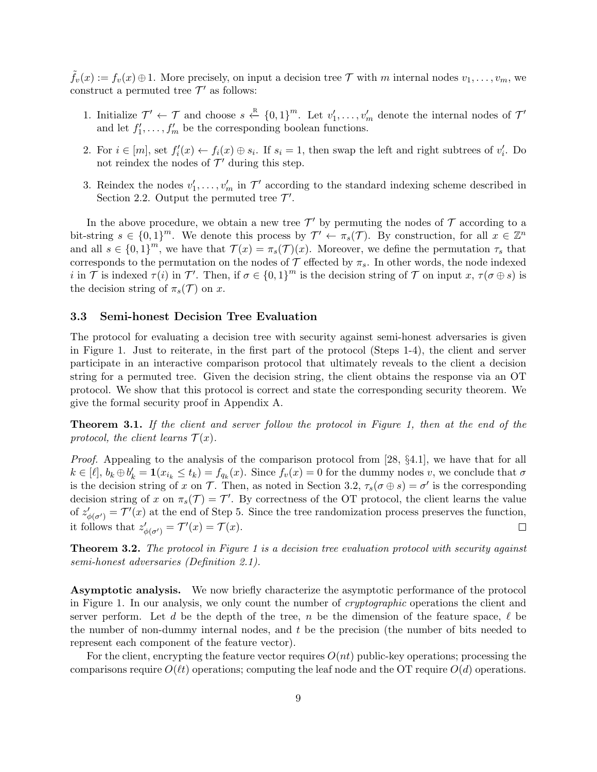$\tilde{f}_v(x) := f_v(x) \oplus 1$ . More precisely, on input a decision tree  $\mathcal T$  with m internal nodes  $v_1, \ldots, v_m$ , we construct a permuted tree  $\mathcal{T}'$  as follows:

- 1. Initialize  $\mathcal{T}' \leftarrow \mathcal{T}$  and choose  $s \leftarrow^{R} \{0,1\}^{m}$ . Let  $v'_1, \ldots, v'_m$  denote the internal nodes of  $\mathcal{T}'$ and let  $f'_1, \ldots, f'_m$  be the corresponding boolean functions.
- 2. For  $i \in [m]$ , set  $f_i'(x) \leftarrow f_i(x) \oplus s_i$ . If  $s_i = 1$ , then swap the left and right subtrees of  $v_i'$ . Do not reindex the nodes of  $\mathcal{T}'$  during this step.
- 3. Reindex the nodes  $v'_1, \ldots, v'_m$  in  $\mathcal{T}'$  according to the standard indexing scheme described in Section [2.2.](#page-3-0) Output the permuted tree  $\mathcal{T}'$ .

In the above procedure, we obtain a new tree  $\mathcal{T}'$  by permuting the nodes of  $\mathcal T$  according to a bit-string  $s \in \{0,1\}^m$ . We denote this process by  $\mathcal{T}' \leftarrow \pi_s(\mathcal{T})$ . By construction, for all  $x \in \mathbb{Z}^n$ and all  $s \in \{0,1\}^m$ , we have that  $\mathcal{T}(x) = \pi_s(\mathcal{T})(x)$ . Moreover, we define the permutation  $\tau_s$  that corresponds to the permutation on the nodes of  $\mathcal T$  effected by  $\pi_s$ . In other words, the node indexed i in  $\mathcal T$  is indexed  $\tau(i)$  in  $\mathcal T'$ . Then, if  $\sigma \in \{0,1\}^m$  is the decision string of  $\mathcal T$  on input  $x, \tau(\sigma \oplus s)$  is the decision string of  $\pi_s(\mathcal{T})$  on x.

#### 3.3 Semi-honest Decision Tree Evaluation

The protocol for evaluating a decision tree with security against semi-honest adversaries is given in Figure [1.](#page-9-0) Just to reiterate, in the first part of the protocol (Steps [1-](#page-9-1)[4\)](#page-9-2), the client and server participate in an interactive comparison protocol that ultimately reveals to the client a decision string for a permuted tree. Given the decision string, the client obtains the response via an OT protocol. We show that this protocol is correct and state the corresponding security theorem. We give the formal security proof in Appendix [A.](#page-27-4)

<span id="page-8-1"></span>**Theorem 3.1.** If the client and server follow the protocol in Figure [1,](#page-9-0) then at the end of the protocol, the client learns  $\mathcal{T}(x)$ .

Proof. Appealing to the analysis of the comparison protocol from [\[28,](#page-25-1) §4.1], we have that for all  $k \in [\ell], b_k \oplus b'_k = \mathbf{1}(x_{i_k} \leq t_k) = f_{q_k}(x)$ . Since  $f_v(x) = 0$  for the dummy nodes v, we conclude that  $\sigma$ is the decision string of x on T. Then, as noted in Section [3.2,](#page-6-1)  $\tau_s(\sigma \oplus s) = \sigma'$  is the corresponding decision string of x on  $\pi_s(\mathcal{T}) = \mathcal{T}'$ . By correctness of the OT protocol, the client learns the value of  $z'_{\phi(\sigma')} = \mathcal{T}'(x)$  at the end of Step [5.](#page-9-3) Since the tree randomization process preserves the function, it follows that  $z'_{\phi(\sigma')} = \mathcal{T}'(x) = \mathcal{T}(x)$ .  $\Box$ 

<span id="page-8-0"></span>Theorem 3.2. The protocol in Figure [1](#page-9-0) is a decision tree evaluation protocol with security against semi-honest adversaries (Definition [2.1\)](#page-5-0).

Asymptotic analysis. We now briefly characterize the asymptotic performance of the protocol in Figure [1.](#page-9-0) In our analysis, we only count the number of cryptographic operations the client and server perform. Let d be the depth of the tree, n be the dimension of the feature space,  $\ell$  be the number of non-dummy internal nodes, and  $t$  be the precision (the number of bits needed to represent each component of the feature vector).

For the client, encrypting the feature vector requires  $O(nt)$  public-key operations; processing the comparisons require  $O(\ell t)$  operations; computing the leaf node and the OT require  $O(d)$  operations.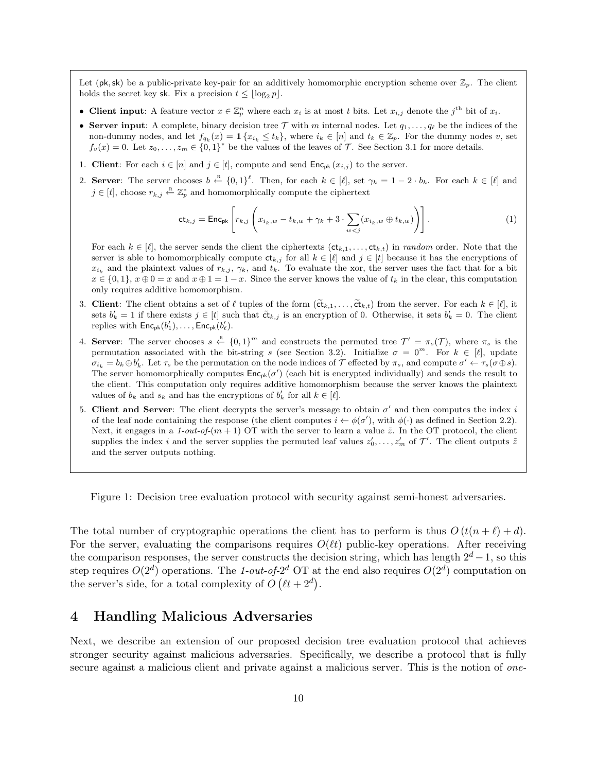<span id="page-9-0"></span>Let (pk, sk) be a public-private key-pair for an additively homomorphic encryption scheme over  $\mathbb{Z}_p$ . The client holds the secret key sk. Fix a precision  $t \leq |\log_2 p|$ .

- Client input: A feature vector  $x \in \mathbb{Z}_p^n$  where each  $x_i$  is at most t bits. Let  $x_{i,j}$  denote the j<sup>th</sup> bit of  $x_i$ .
- Server input: A complete, binary decision tree T with m internal nodes. Let  $q_1, \ldots, q_\ell$  be the indices of the non-dummy nodes, and let  $f_{q_k}(x) = \mathbf{1} \{x_{i_k} \le t_k\}$ , where  $i_k \in [n]$  and  $t_k \in \mathbb{Z}_p$ . For the dummy nodes v, set  $f_v(x) = 0$ . Let  $z_0, \ldots, z_m \in \{0,1\}^*$  be the values of the leaves of  $\mathcal{T}$ . See Section [3.1](#page-6-0) for more details.
- <span id="page-9-1"></span>1. Client: For each  $i \in [n]$  and  $j \in [t]$ , compute and send  $\mathsf{Enc}_{\mathsf{pk}}(x_{i,j})$  to the server.
- 2. Server: The server chooses  $b \stackrel{R}{\leftarrow} \{0,1\}^{\ell}$ . Then, for each  $k \in [\ell]$ , set  $\gamma_k = 1 2 \cdot b_k$ . For each  $k \in [\ell]$  and  $j \in [t]$ , choose  $r_{k,j} \leftarrow \mathbb{Z}_p^*$  and homomorphically compute the ciphertext

<span id="page-9-5"></span>
$$
\mathsf{ct}_{k,j} = \mathsf{Enc}_{\mathsf{pk}}\left[r_{k,j}\left(x_{i_k,w} - t_{k,w} + \gamma_k + 3\cdot \sum_{w < j}(x_{i_k,w} \oplus t_{k,w})\right)\right].\tag{1}
$$

For each  $k \in [\ell]$ , the server sends the client the ciphertexts  $(\mathsf{ct}_{k,1}, \ldots, \mathsf{ct}_{k,t})$  in *random* order. Note that the server is able to homomorphically compute  $\mathsf{ct}_{k,j}$  for all  $k \in [\ell]$  and  $j \in [t]$  because it has the encryptions of  $x_{i_k}$  and the plaintext values of  $r_{k,j}$ ,  $\gamma_k$ , and  $t_k$ . To evaluate the xor, the server uses the fact that for a bit  $x \in \{0,1\}, x \oplus 0 = x$  and  $x \oplus 1 = 1 - x$ . Since the server knows the value of  $t_k$  in the clear, this computation only requires additive homomorphism.

- 3. Client: The client obtains a set of  $\ell$  tuples of the form  $(\tilde{ct}_{k,1}, \ldots, \tilde{ct}_{k,t})$  from the server. For each  $k \in [\ell],$  it sets  $b'_k = 1$  if there exists  $j \in [t]$  such that  $\tilde{\mathbf{ct}}_{k,j}$  is an encryption of 0. Otherwise, it sets  $b'_k = 0$ . The client replies with  $\mathsf{Enc}_{\mathsf{pk}}(b'_1), \ldots, \mathsf{Enc}_{\mathsf{pk}}(b'_\ell).$
- <span id="page-9-2"></span>4. Server: The server chooses  $s \leftarrow \{0,1\}^m$  and constructs the permuted tree  $\mathcal{T}' = \pi_s(\mathcal{T})$ , where  $\pi_s$  is the permutation associated with the bit-string s (see Section [3.2\)](#page-6-1). Initialize  $\sigma = 0^m$ . For  $k \in [\ell]$ , update  $\sigma_{i_k} = b_k \oplus b'_k$ . Let  $\tau_s$  be the permutation on the node indices of  $\mathcal T$  effected by  $\pi_s$ , and compute  $\sigma' \leftarrow \tau_s(\sigma \oplus s)$ . The server homomorphically computes  $Enc_{pk}(\sigma')$  (each bit is encrypted individually) and sends the result to the client. This computation only requires additive homomorphism because the server knows the plaintext values of  $b_k$  and  $s_k$  and has the encryptions of  $b'_k$  for all  $k \in [\ell]$ .
- <span id="page-9-3"></span>5. Client and Server: The client decrypts the server's message to obtain  $\sigma'$  and then computes the index i of the leaf node containing the response (the client computes  $i \leftarrow \phi(\sigma')$ , with  $\phi(\cdot)$  as defined in Section [2.2\)](#page-3-0). Next, it engages in a 1-out-of- $(m + 1)$  OT with the server to learn a value  $\tilde{z}$ . In the OT protocol, the client supplies the index i and the server supplies the permuted leaf values  $z'_0, \ldots, z'_m$  of  $\mathcal{T}'$ . The client outputs  $\tilde{z}$ and the server outputs nothing.

Figure 1: Decision tree evaluation protocol with security against semi-honest adversaries.

The total number of cryptographic operations the client has to perform is thus  $O(t(n + \ell) + d)$ . For the server, evaluating the comparisons requires  $O(\ell t)$  public-key operations. After receiving the comparison responses, the server constructs the decision string, which has length  $2^d - 1$ , so this step requires  $O(2^d)$  operations. The 1-out-of- $2^d$  OT at the end also requires  $O(2^d)$  computation on the server's side, for a total complexity of  $O(t+2^d)$ .

### <span id="page-9-4"></span>4 Handling Malicious Adversaries

Next, we describe an extension of our proposed decision tree evaluation protocol that achieves stronger security against malicious adversaries. Specifically, we describe a protocol that is fully secure against a malicious client and private against a malicious server. This is the notion of *one*-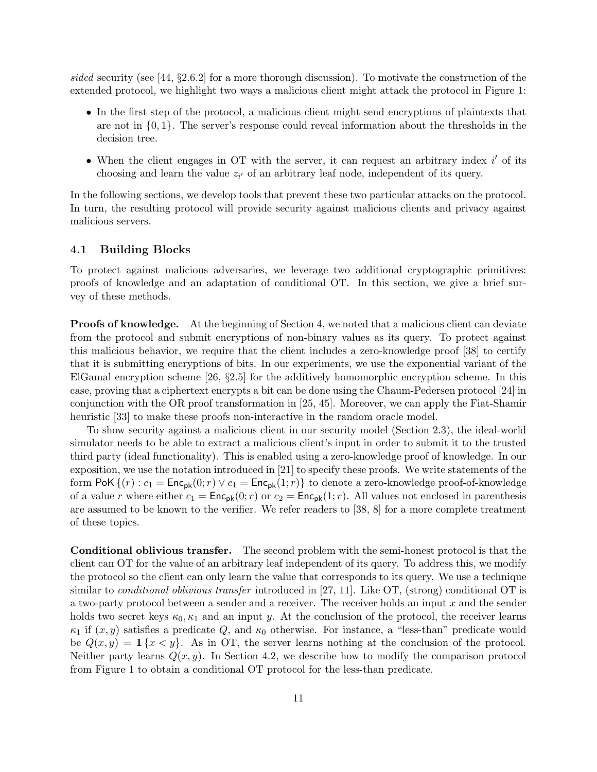sided security (see [\[44,](#page-26-6) §2.6.2] for a more thorough discussion). To motivate the construction of the extended protocol, we highlight two ways a malicious client might attack the protocol in Figure [1:](#page-9-0)

- In the first step of the protocol, a malicious client might send encryptions of plaintexts that are not in  $\{0, 1\}$ . The server's response could reveal information about the thresholds in the decision tree.
- When the client engages in OT with the server, it can request an arbitrary index  $i'$  of its choosing and learn the value  $z_{i'}$  of an arbitrary leaf node, independent of its query.

In the following sections, we develop tools that prevent these two particular attacks on the protocol. In turn, the resulting protocol will provide security against malicious clients and privacy against malicious servers.

#### 4.1 Building Blocks

To protect against malicious adversaries, we leverage two additional cryptographic primitives: proofs of knowledge and an adaptation of conditional OT. In this section, we give a brief survey of these methods.

Proofs of knowledge. At the beginning of Section [4,](#page-9-4) we noted that a malicious client can deviate from the protocol and submit encryptions of non-binary values as its query. To protect against this malicious behavior, we require that the client includes a zero-knowledge proof [\[38\]](#page-25-10) to certify that it is submitting encryptions of bits. In our experiments, we use the exponential variant of the ElGamal encryption scheme [\[26,](#page-25-11) §2.5] for the additively homomorphic encryption scheme. In this case, proving that a ciphertext encrypts a bit can be done using the Chaum-Pedersen protocol [\[24\]](#page-25-12) in conjunction with the OR proof transformation in [\[25,](#page-25-13) [45\]](#page-26-8). Moreover, we can apply the Fiat-Shamir heuristic [\[33\]](#page-25-14) to make these proofs non-interactive in the random oracle model.

To show security against a malicious client in our security model (Section [2.3\)](#page-4-0), the ideal-world simulator needs to be able to extract a malicious client's input in order to submit it to the trusted third party (ideal functionality). This is enabled using a zero-knowledge proof of knowledge. In our exposition, we use the notation introduced in [\[21\]](#page-24-11) to specify these proofs. We write statements of the form PoK  $\{(r): c_1 = \text{Enc}_{\text{pk}}(0; r) \vee c_1 = \text{Enc}_{\text{pk}}(1; r)\}$  to denote a zero-knowledge proof-of-knowledge of a value r where either  $c_1 = \text{Enc}_{\text{pk}}(0; r)$  or  $c_2 = \text{Enc}_{\text{pk}}(1; r)$ . All values not enclosed in parenthesis are assumed to be known to the verifier. We refer readers to [\[38,](#page-25-10) [8\]](#page-24-12) for a more complete treatment of these topics.

Conditional oblivious transfer. The second problem with the semi-honest protocol is that the client can OT for the value of an arbitrary leaf independent of its query. To address this, we modify the protocol so the client can only learn the value that corresponds to its query. We use a technique similar to *conditional oblivious transfer* introduced in [\[27,](#page-25-2) [11\]](#page-24-2). Like OT, (strong) conditional OT is a two-party protocol between a sender and a receiver. The receiver holds an input x and the sender holds two secret keys  $\kappa_0, \kappa_1$  and an input y. At the conclusion of the protocol, the receiver learns  $\kappa_1$  if  $(x, y)$  satisfies a predicate Q, and  $\kappa_0$  otherwise. For instance, a "less-than" predicate would be  $Q(x, y) = \mathbf{1}\{x \leq y\}$ . As in OT, the server learns nothing at the conclusion of the protocol. Neither party learns  $Q(x, y)$ . In Section [4.2,](#page-11-0) we describe how to modify the comparison protocol from Figure [1](#page-9-0) to obtain a conditional OT protocol for the less-than predicate.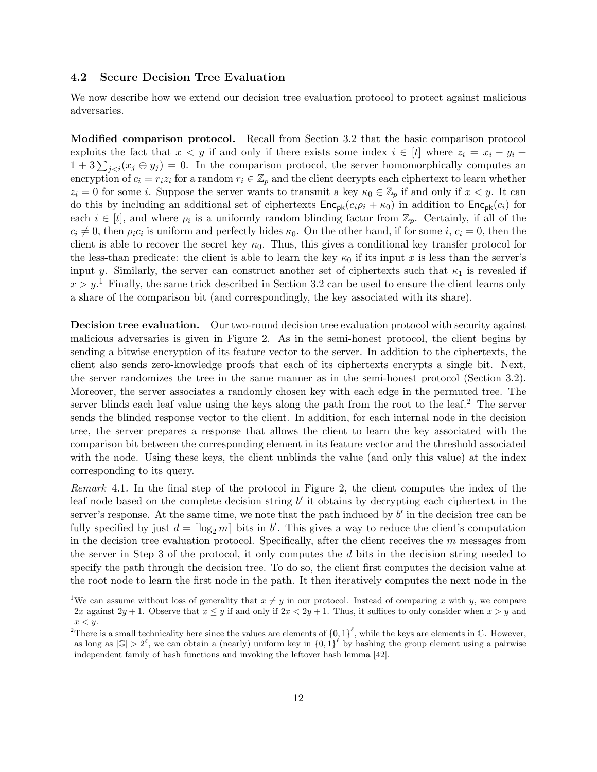#### 4.2 Secure Decision Tree Evaluation

We now describe how we extend our decision tree evaluation protocol to protect against malicious adversaries.

<span id="page-11-0"></span>Modified comparison protocol. Recall from Section [3.2](#page-6-1) that the basic comparison protocol exploits the fact that  $x < y$  if and only if there exists some index  $i \in [t]$  where  $z_i = x_i - y_i +$  $1 + 3\sum_{j < i}(x_j \oplus y_j) = 0$ . In the comparison protocol, the server homomorphically computes an encryption of  $c_i = r_i z_i$  for a random  $r_i \in \mathbb{Z}_p$  and the client decrypts each ciphertext to learn whether  $z_i = 0$  for some i. Suppose the server wants to transmit a key  $\kappa_0 \in \mathbb{Z}_p$  if and only if  $x < y$ . It can do this by including an additional set of ciphertexts  $Enc_{pk}(c_i \rho_i + \kappa_0)$  in addition to  $Enc_{pk}(c_i)$  for each  $i \in [t]$ , and where  $\rho_i$  is a uniformly random blinding factor from  $\mathbb{Z}_p$ . Certainly, if all of the  $c_i \neq 0$ , then  $\rho_i c_i$  is uniform and perfectly hides  $\kappa_0$ . On the other hand, if for some i,  $c_i = 0$ , then the client is able to recover the secret key  $\kappa_0$ . Thus, this gives a conditional key transfer protocol for the less-than predicate: the client is able to learn the key  $\kappa_0$  if its input x is less than the server's input y. Similarly, the server can construct another set of ciphertexts such that  $\kappa_1$  is revealed if  $x > y$ .<sup>[1](#page-11-1)</sup> Finally, the same trick described in Section [3.2](#page-6-1) can be used to ensure the client learns only a share of the comparison bit (and correspondingly, the key associated with its share).

**Decision tree evaluation.** Our two-round decision tree evaluation protocol with security against malicious adversaries is given in Figure [2.](#page-12-0) As in the semi-honest protocol, the client begins by sending a bitwise encryption of its feature vector to the server. In addition to the ciphertexts, the client also sends zero-knowledge proofs that each of its ciphertexts encrypts a single bit. Next, the server randomizes the tree in the same manner as in the semi-honest protocol (Section [3.2\)](#page-6-1). Moreover, the server associates a randomly chosen key with each edge in the permuted tree. The server blinds each leaf value using the keys along the path from the root to the leaf.<sup>[2](#page-11-2)</sup> The server sends the blinded response vector to the client. In addition, for each internal node in the decision tree, the server prepares a response that allows the client to learn the key associated with the comparison bit between the corresponding element in its feature vector and the threshold associated with the node. Using these keys, the client unblinds the value (and only this value) at the index corresponding to its query.

<span id="page-11-3"></span>Remark 4.1. In the final step of the protocol in Figure [2,](#page-12-0) the client computes the index of the leaf node based on the complete decision string  $b'$  it obtains by decrypting each ciphertext in the server's response. At the same time, we note that the path induced by  $b'$  in the decision tree can be fully specified by just  $d = \lceil \log_2 m \rceil$  bits in b'. This gives a way to reduce the client's computation in the decision tree evaluation protocol. Specifically, after the client receives the  $m$  messages from the server in Step [3](#page-13-1) of the protocol, it only computes the d bits in the decision string needed to specify the path through the decision tree. To do so, the client first computes the decision value at the root node to learn the first node in the path. It then iteratively computes the next node in the

<span id="page-11-1"></span><sup>&</sup>lt;sup>1</sup>We can assume without loss of generality that  $x \neq y$  in our protocol. Instead of comparing x with y, we compare 2x against 2y + 1. Observe that  $x \leq y$  if and only if  $2x < 2y + 1$ . Thus, it suffices to only consider when  $x > y$  and  $x < y$ .

<span id="page-11-2"></span><sup>&</sup>lt;sup>2</sup>There is a small technicality here since the values are elements of  $\{0,1\}^{\ell}$ , while the keys are elements in G. However, as long as  $|\mathbb{G}| > 2^{\ell}$ , we can obtain a (nearly) uniform key in  $\{0,1\}^{\ell}$  by hashing the group element using a pairwise independent family of hash functions and invoking the leftover hash lemma [\[42\]](#page-26-9).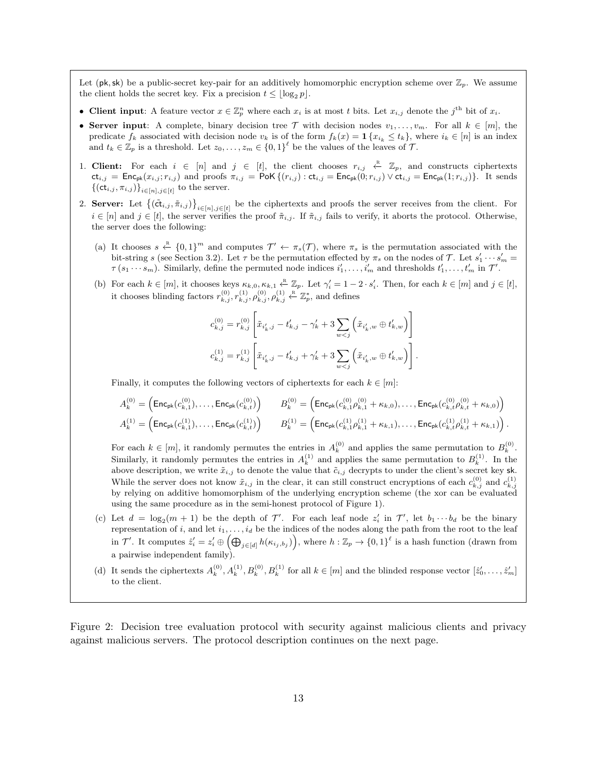<span id="page-12-0"></span>Let (pk, sk) be a public-secret key-pair for an additively homomorphic encryption scheme over  $\mathbb{Z}_p$ . We assume the client holds the secret key. Fix a precision  $t \leq |\log_2 p|$ .

- Client input: A feature vector  $x \in \mathbb{Z}_p^n$  where each  $x_i$  is at most t bits. Let  $x_{i,j}$  denote the j<sup>th</sup> bit of  $x_i$ .
- Server input: A complete, binary decision tree  $\mathcal T$  with decision nodes  $v_1, \ldots, v_m$ . For all  $k \in [m]$ , the predicate  $f_k$  associated with decision node  $v_k$  is of the form  $f_k(x) = \mathbf{1}\{x_{i_k} \le t_k\}$ , where  $i_k \in [n]$  is an index and  $t_k \in \mathbb{Z}_p$  is a threshold. Let  $z_0, \ldots, z_m \in \{0,1\}^{\ell}$  be the values of the leaves of  $\mathcal{T}$ .
- 1. Client: For each  $i \in [n]$  and  $j \in [t]$ , the client chooses  $r_{i,j} \leftarrow \mathbb{Z}_p$ , and constructs ciphertexts  $ct_{i,j} = \textsf{Enc}_{\textsf{pk}}(x_{i,j}; r_{i,j})$  and proofs  $\pi_{i,j} = \textsf{PoK} \{ (r_{i,j}) : \textsf{ct}_{i,j} = \textsf{Enc}_{\textsf{pk}}(0; r_{i,j}) \vee \textsf{ct}_{i,j} = \textsf{Enc}_{\textsf{pk}}(1; r_{i,j}) \}$ . It sends  $\{(\mathsf{ct}_{i,j}, \pi_{i,j})\}_{i \in [n], j \in [t]}$  to the server.
- 2. Server: Let  $\{(\tilde{\text{ct}}_{i,j}, \tilde{\pi}_{i,j})\}_{i \in [n], j \in [t]}$  be the ciphertexts and proofs the server receives from the client. For  $i \in [n]$  and  $j \in [t]$ , the server verifies the proof  $\tilde{\pi}_{i,j}$ . If  $\tilde{\pi}_{i,j}$  fails to verify, it aborts the protocol. Otherwise, the server does the following:
	- (a) It chooses  $s \stackrel{\text{R}}{\leftarrow} \{0,1\}^m$  and computes  $\mathcal{T}' \leftarrow \pi_s(\mathcal{T})$ , where  $\pi_s$  is the permutation associated with the bit-string s (see Section [3.2\)](#page-6-1). Let  $\tau$  be the permutation effected by  $\pi_s$  on the nodes of  $\mathcal{T}$ . Let  $s'_1 \cdots s'_m =$  $\tau(s_1\cdots s_m)$ . Similarly, define the permuted node indices  $i'_1,\ldots,i'_m$  and thresholds  $t'_1,\ldots,t'_m$  in  $\mathcal{T}'$ .
	- (b) For each  $k \in [m]$ , it chooses keys  $\kappa_{k,0}, \kappa_{k,1} \stackrel{\text{R}}{\leftarrow} \mathbb{Z}_p$ . Let  $\gamma'_i = 1 2 \cdot s'_i$ . Then, for each  $k \in [m]$  and  $j \in [t]$ , it chooses blinding factors  $r_{k,j}^{(0)}, r_{k,j}^{(1)}, \rho_{k,j}^{(0)}, \rho_{k,j}^{(1)} \leftarrow \mathbb{Z}_p^*$ , and defines

$$
c_{k,j}^{(0)} = r_{k,j}^{(0)} \left[ \tilde{x}_{i'_k,j} - t'_{k,j} - \gamma'_k + 3 \sum_{w < j} \left( \tilde{x}_{i'_k,w} \oplus t'_{k,w} \right) \right]
$$
\n
$$
c_{k,j}^{(1)} = r_{k,j}^{(1)} \left[ \tilde{x}_{i'_k,j} - t'_{k,j} + \gamma'_k + 3 \sum_{w < j} \left( \tilde{x}_{i'_k,w} \oplus t'_{k,w} \right) \right]
$$

.

.

Finally, it computes the following vectors of ciphertexts for each  $k \in [m]$ :

$$
\begin{array}{ll} A_k^{(0)} = \Big( \text{Enc}_{\textbf{pk}}(c_{k,1}^{(0)}), \ldots, \text{Enc}_{\textbf{pk}}(c_{k,t}^{(0)}) \Big) \qquad B_k^{(0)} = \Big( \text{Enc}_{\textbf{pk}}(c_{k,1}^{(0)}\rho_{k,1}^{(0)} + \kappa_{k,0}), \ldots, \text{Enc}_{\textbf{pk}}(c_{k,t}^{(0)}\rho_{k,t}^{(0)} + \kappa_{k,0}) \Big) \\ A_k^{(1)} = \Big( \text{Enc}_{\textbf{pk}}(c_{k,1}^{(1)}), \ldots, \text{Enc}_{\textbf{pk}}(c_{k,t}^{(1)}) \Big) \qquad B_k^{(1)} = \Big( \text{Enc}_{\textbf{pk}}(c_{k,1}^{(1)}\rho_{k,1}^{(1)} + \kappa_{k,1}), \ldots, \text{Enc}_{\textbf{pk}}(c_{k,t}^{(1)}\rho_{k,t}^{(1)} + \kappa_{k,1}) \Big) \end{array}
$$

For each  $k \in [m]$ , it randomly permutes the entries in  $A_k^{(0)}$  and applies the same permutation to  $B_k^{(0)}$ . Similarly, it randomly permutes the entries in  $A_k^{(1)}$  and applies the same permutation to  $B_k^{(1)}$ . In the above description, we write  $\tilde{x}_{i,j}$  to denote the value that  $\tilde{c}_{i,j}$  decrypts to under the client's secret key sk. While the server does not know  $\tilde{x}_{i,j}$  in the clear, it can still construct encryptions of each  $c_{k,j}^{(0)}$  and  $c_{k,j}^{(1)}$ by relying on additive homomorphism of the underlying encryption scheme (the xor can be evaluated using the same procedure as in the semi-honest protocol of Figure [1\)](#page-9-0).

- (c) Let  $d = \log_2(m+1)$  be the depth of  $\mathcal{T}'$ . For each leaf node  $z'_i$  in  $\mathcal{T}'$ , let  $b_1 \cdots b_d$  be the binary representation of i, and let  $i_1, \ldots, i_d$  be the indices of the nodes along the path from the root to the leaf in  $\mathcal{T}'$ . It computes  $\hat{z}'_i = z'_i \oplus \left( \bigoplus_{j \in [d]} h(\kappa_{i_j, b_j}) \right)$ , where  $h: \mathbb{Z}_p \to \{0,1\}^{\ell}$  is a hash function (drawn from a pairwise independent family).
- (d) It sends the ciphertexts  $A_k^{(0)}, A_k^{(1)}, B_k^{(0)}, B_k^{(1)}$  for all  $k \in [m]$  and the blinded response vector  $[\hat{z}'_0, \ldots, \hat{z}'_m]$ to the client.

Figure 2: Decision tree evaluation protocol with security against malicious clients and privacy against malicious servers. The protocol description continues on the next page.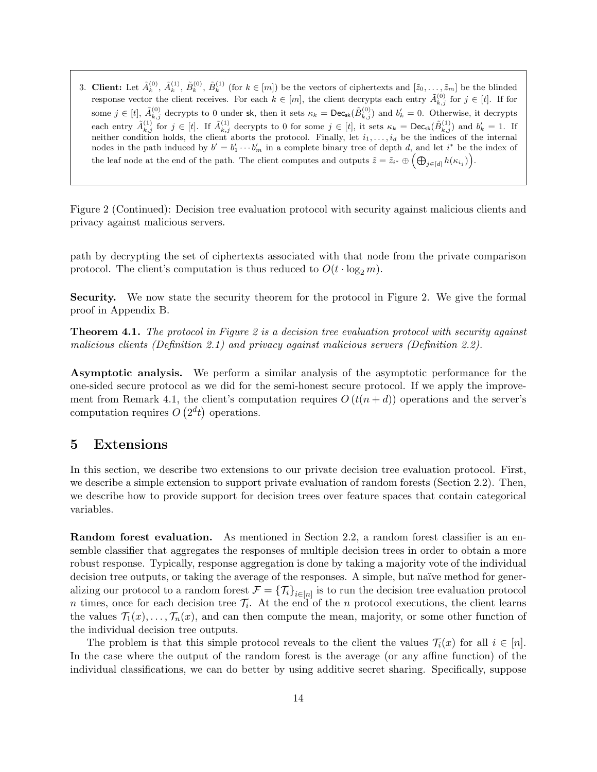<span id="page-13-1"></span>3. Client: Let  $\tilde{A}_k^{(0)}$ ,  $\tilde{A}_k^{(1)}$ ,  $\tilde{B}_k^{(0)}$ ,  $\tilde{B}_k^{(1)}$  (for  $k \in [m]$ ) be the vectors of ciphertexts and  $[\tilde{z}_0, \ldots, \tilde{z}_m]$  be the blinded response vector the client receives. For each  $k \in [m]$ , the client decrypts each entry  $\tilde{A}_{k,j}^{(0)}$  for  $j \in [t]$ . If for some  $j \in [t]$ ,  $\tilde{A}_{k,j}^{(0)}$  decrypts to 0 under sk, then it sets  $\kappa_k = \textsf{Dec}_{\textsf{sk}}(\tilde{B}_{k,j}^{(0)})$  and  $b'_k = 0$ . Otherwise, it decrypts each entry  $\tilde{A}_{k,j}^{(1)}$  for  $j \in [t]$ . If  $\tilde{A}_{k,j}^{(1)}$  decrypts to 0 for some  $j \in [t]$ , it sets  $\kappa_k = \text{Dec}_{\text{sk}}(\tilde{B}_{k,j}^{(1)})$  and  $b'_k = 1$ . If neither condition holds, the client aborts the protocol. Finally, let  $i_1, \ldots, i_d$  be the indices of the internal nodes in the path induced by  $b' = b'_1 \cdots b'_m$  in a complete binary tree of depth d, and let i<sup>\*</sup> be the index of the leaf node at the end of the path. The client computes and outputs  $\tilde{z} = \tilde{z}_{i^*} \oplus \left(\bigoplus_{j \in [d]} h(\kappa_{i_j})\right)$ .

Figure 2 (Continued): Decision tree evaluation protocol with security against malicious clients and privacy against malicious servers.

path by decrypting the set of ciphertexts associated with that node from the private comparison protocol. The client's computation is thus reduced to  $O(t \cdot \log_2 m)$ .

Security. We now state the security theorem for the protocol in Figure [2.](#page-12-0) We give the formal proof in Appendix [B.](#page-29-0)

<span id="page-13-2"></span>**Theorem 4.1.** The protocol in Figure [2](#page-12-0) is a decision tree evaluation protocol with security against malicious clients (Definition [2.1\)](#page-5-0) and privacy against malicious servers (Definition [2.2\)](#page-6-2).

Asymptotic analysis. We perform a similar analysis of the asymptotic performance for the one-sided secure protocol as we did for the semi-honest secure protocol. If we apply the improve-ment from Remark [4.1,](#page-11-3) the client's computation requires  $O(t(n+d))$  operations and the server's computation requires  $O(2<sup>d</sup>t)$  operations.

### <span id="page-13-0"></span>5 Extensions

In this section, we describe two extensions to our private decision tree evaluation protocol. First, we describe a simple extension to support private evaluation of random forests (Section [2.2\)](#page-3-0). Then, we describe how to provide support for decision trees over feature spaces that contain categorical variables.

Random forest evaluation. As mentioned in Section [2.2,](#page-3-0) a random forest classifier is an ensemble classifier that aggregates the responses of multiple decision trees in order to obtain a more robust response. Typically, response aggregation is done by taking a majority vote of the individual decision tree outputs, or taking the average of the responses. A simple, but naïve method for generalizing our protocol to a random forest  $\mathcal{F} = {\{\mathcal{T}_i\}}_{i \in [n]}$  is to run the decision tree evaluation protocol n times, once for each decision tree  $\mathcal{T}_i$ . At the end of the n protocol executions, the client learns the values  $\mathcal{T}_1(x), \ldots, \mathcal{T}_n(x)$ , and can then compute the mean, majority, or some other function of the individual decision tree outputs.

The problem is that this simple protocol reveals to the client the values  $\mathcal{T}_i(x)$  for all  $i \in [n]$ . In the case where the output of the random forest is the average (or any affine function) of the individual classifications, we can do better by using additive secret sharing. Specifically, suppose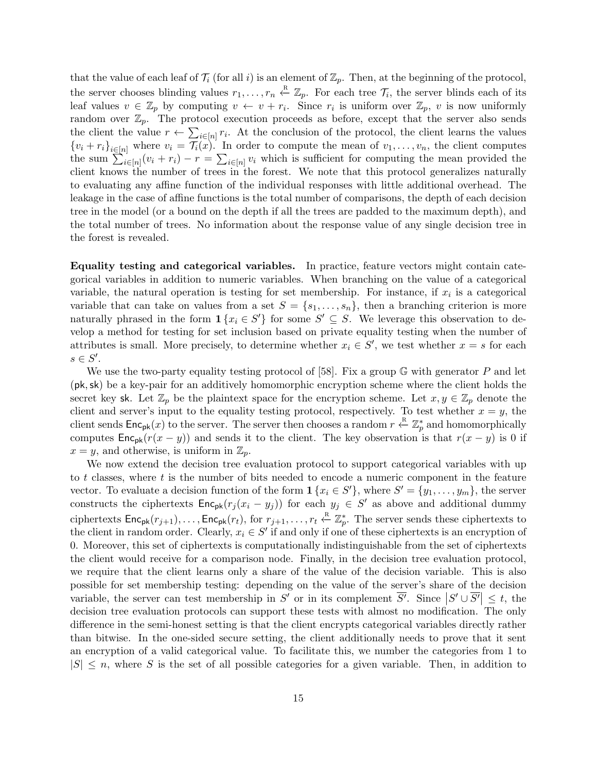that the value of each leaf of  $\mathcal{T}_i$  (for all i) is an element of  $\mathbb{Z}_p$ . Then, at the beginning of the protocol, the server chooses blinding values  $r_1, \ldots, r_n \stackrel{\text{R}}{\leftarrow} \mathbb{Z}_p$ . For each tree  $\mathcal{T}_i$ , the server blinds each of its leaf values  $v \in \mathbb{Z}_p$  by computing  $v \leftarrow v + r_i$ . Since  $r_i$  is uniform over  $\mathbb{Z}_p$ , v is now uniformly random over  $\mathbb{Z}_p$ . The protocol execution proceeds as before, except that the server also sends the client the value  $r \leftarrow \sum_{i \in [n]} r_i$ . At the conclusion of the protocol, the client learns the values  ${v_i + r_i}_{i \in [n]}$  where  $v_i = \mathcal{T}_i(x)$ . In order to compute the mean of  $v_1, \ldots, v_n$ , the client computes the sum  $\sum_{i\in[n]}(v_i+r_i)-r=\sum_{i\in[n]}v_i$  which is sufficient for computing the mean provided the client knows the number of trees in the forest. We note that this protocol generalizes naturally to evaluating any affine function of the individual responses with little additional overhead. The leakage in the case of affine functions is the total number of comparisons, the depth of each decision tree in the model (or a bound on the depth if all the trees are padded to the maximum depth), and the total number of trees. No information about the response value of any single decision tree in the forest is revealed.

Equality testing and categorical variables. In practice, feature vectors might contain categorical variables in addition to numeric variables. When branching on the value of a categorical variable, the natural operation is testing for set membership. For instance, if  $x_i$  is a categorical variable that can take on values from a set  $S = \{s_1, \ldots, s_n\}$ , then a branching criterion is more naturally phrased in the form  $\mathbf{1}\{x_i \in S'\}$  for some  $S' \subseteq S$ . We leverage this observation to develop a method for testing for set inclusion based on private equality testing when the number of attributes is small. More precisely, to determine whether  $x_i \in S'$ , we test whether  $x = s$  for each  $s \in S'.$ 

We use the two-party equality testing protocol of [\[58\]](#page-26-10). Fix a group  $\mathbb G$  with generator P and let (pk,sk) be a key-pair for an additively homomorphic encryption scheme where the client holds the secret key sk. Let  $\mathbb{Z}_p$  be the plaintext space for the encryption scheme. Let  $x, y \in \mathbb{Z}_p$  denote the client and server's input to the equality testing protocol, respectively. To test whether  $x = y$ , the client sends  $Enc_{pk}(x)$  to the server. The server then chooses a random  $r \stackrel{R}{\leftarrow} \mathbb{Z}_p^*$  and homomorphically computes  $\mathsf{Enc}_{\mathsf{pk}}(r(x - y))$  and sends it to the client. The key observation is that  $r(x - y)$  is 0 if  $x = y$ , and otherwise, is uniform in  $\mathbb{Z}_p$ .

We now extend the decision tree evaluation protocol to support categorical variables with up to  $t$  classes, where  $t$  is the number of bits needed to encode a numeric component in the feature vector. To evaluate a decision function of the form  $\mathbf{1}\{x_i \in S'\}$ , where  $S' = \{y_1, \ldots, y_m\}$ , the server constructs the ciphertexts  $\mathsf{Enc}_{\mathsf{pk}}(r_j(x_i - y_j))$  for each  $y_j \in S'$  as above and additional dummy ciphertexts  $Enc_{pk}(r_{j+1}), \ldots, Enc_{pk}(r_t)$ , for  $r_{j+1}, \ldots, r_t \stackrel{R}{\leftarrow} \mathbb{Z}_p^*$ . The server sends these ciphertexts to the client in random order. Clearly,  $x_i \in S'$  if and only if one of these ciphertexts is an encryption of 0. Moreover, this set of ciphertexts is computationally indistinguishable from the set of ciphertexts the client would receive for a comparison node. Finally, in the decision tree evaluation protocol, we require that the client learns only a share of the value of the decision variable. This is also possible for set membership testing: depending on the value of the server's share of the decision variable, the server can test membership in S' or in its complement  $\overline{S'}$ . Since  $|S' \cup \overline{S'}| \leq t$ , the decision tree evaluation protocols can support these tests with almost no modification. The only difference in the semi-honest setting is that the client encrypts categorical variables directly rather than bitwise. In the one-sided secure setting, the client additionally needs to prove that it sent an encryption of a valid categorical value. To facilitate this, we number the categories from 1 to  $|S| \leq n$ , where S is the set of all possible categories for a given variable. Then, in addition to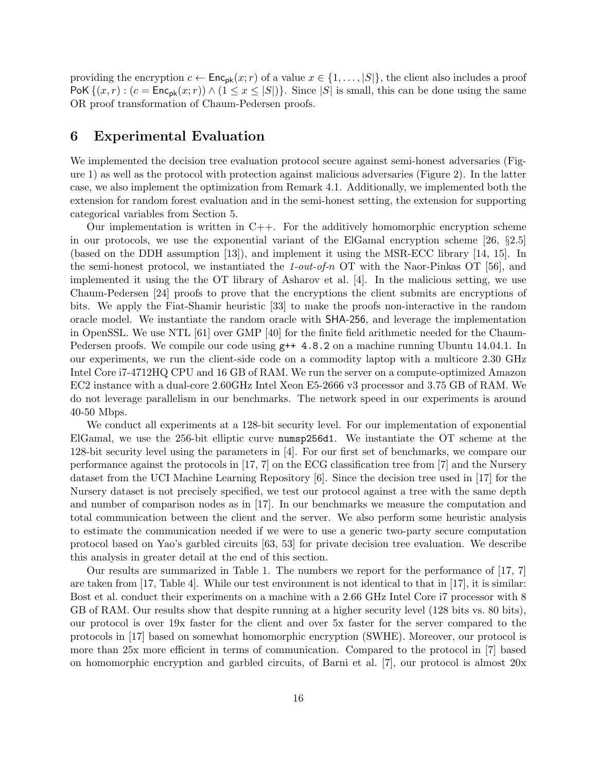providing the encryption  $c \leftarrow \mathsf{Enc}_{\mathsf{pk}}(x; r)$  of a value  $x \in \{1, \ldots, |S|\}$ , the client also includes a proof PoK  $\{(x, r) : (c = \mathsf{Enc}_{\mathsf{pk}}(x; r)) \wedge (1 \le x \le |S|)\}\)$ . Since  $|S|$  is small, this can be done using the same OR proof transformation of Chaum-Pedersen proofs.

### <span id="page-15-0"></span>6 Experimental Evaluation

We implemented the decision tree evaluation protocol secure against semi-honest adversaries (Figure [1\)](#page-9-0) as well as the protocol with protection against malicious adversaries (Figure [2\)](#page-12-0). In the latter case, we also implement the optimization from Remark [4.1.](#page-11-3) Additionally, we implemented both the extension for random forest evaluation and in the semi-honest setting, the extension for supporting categorical variables from Section [5.](#page-13-0)

Our implementation is written in  $C++$ . For the additively homomorphic encryption scheme in our protocols, we use the exponential variant of the ElGamal encryption scheme [\[26,](#page-25-11) §2.5] (based on the DDH assumption [\[13\]](#page-24-13)), and implement it using the MSR-ECC library [\[14,](#page-24-14) [15\]](#page-24-15). In the semi-honest protocol, we instantiated the 1-out-of-n OT with the Naor-Pinkas OT [\[56\]](#page-26-4), and implemented it using the the OT library of Asharov et al. [\[4\]](#page-23-2). In the malicious setting, we use Chaum-Pedersen [\[24\]](#page-25-12) proofs to prove that the encryptions the client submits are encryptions of bits. We apply the Fiat-Shamir heuristic [\[33\]](#page-25-14) to make the proofs non-interactive in the random oracle model. We instantiate the random oracle with SHA-256, and leverage the implementation in OpenSSL. We use NTL [\[61\]](#page-27-5) over GMP [\[40\]](#page-25-15) for the finite field arithmetic needed for the Chaum-Pedersen proofs. We compile our code using  $g++ 4.8.2$  on a machine running Ubuntu 14.04.1. In our experiments, we run the client-side code on a commodity laptop with a multicore 2.30 GHz Intel Core i7-4712HQ CPU and 16 GB of RAM. We run the server on a compute-optimized Amazon EC2 instance with a dual-core 2.60GHz Intel Xeon E5-2666 v3 processor and 3.75 GB of RAM. We do not leverage parallelism in our benchmarks. The network speed in our experiments is around 40-50 Mbps.

We conduct all experiments at a 128-bit security level. For our implementation of exponential ElGamal, we use the 256-bit elliptic curve numsp256d1. We instantiate the OT scheme at the 128-bit security level using the parameters in [\[4\]](#page-23-2). For our first set of benchmarks, we compare our performance against the protocols in [\[17,](#page-24-3) [7\]](#page-24-4) on the ECG classification tree from [\[7\]](#page-24-4) and the Nursery dataset from the UCI Machine Learning Repository [\[6\]](#page-24-6). Since the decision tree used in [\[17\]](#page-24-3) for the Nursery dataset is not precisely specified, we test our protocol against a tree with the same depth and number of comparison nodes as in [\[17\]](#page-24-3). In our benchmarks we measure the computation and total communication between the client and the server. We also perform some heuristic analysis to estimate the communication needed if we were to use a generic two-party secure computation protocol based on Yao's garbled circuits [\[63,](#page-27-2) [53\]](#page-26-2) for private decision tree evaluation. We describe this analysis in greater detail at the end of this section.

Our results are summarized in Table [1.](#page-16-0) The numbers we report for the performance of [\[17,](#page-24-3) [7\]](#page-24-4) are taken from  $[17, \text{ Table 4}]$  $[17, \text{ Table 4}]$ . While our test environment is not identical to that in  $[17]$ , it is similar: Bost et al. conduct their experiments on a machine with a 2.66 GHz Intel Core i7 processor with 8 GB of RAM. Our results show that despite running at a higher security level (128 bits vs. 80 bits), our protocol is over 19x faster for the client and over 5x faster for the server compared to the protocols in [\[17\]](#page-24-3) based on somewhat homomorphic encryption (SWHE). Moreover, our protocol is more than 25x more efficient in terms of communication. Compared to the protocol in [\[7\]](#page-24-4) based on homomorphic encryption and garbled circuits, of Barni et al. [\[7\]](#page-24-4), our protocol is almost 20x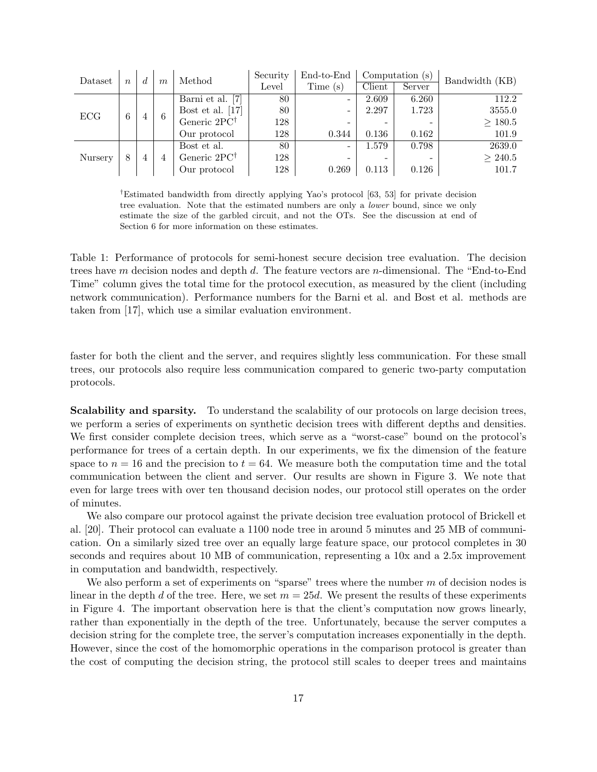<span id="page-16-0"></span>

| Dataset | $\boldsymbol{n}$ | d | $\boldsymbol{m}$ | Method                   | Security | End-to-End | Computation (s) |        | Bandwidth (KB) |
|---------|------------------|---|------------------|--------------------------|----------|------------|-----------------|--------|----------------|
|         |                  |   |                  |                          | Level    | Time (s)   | Client          | Server |                |
| ECG     | 6                | 4 | 6                | [7]<br>Barni et al.      | 80       | -          | 2.609           | 6.260  | 112.2          |
|         |                  |   |                  | Bost et al. $[17]$       | 80       | -          | 2.297           | 1.723  | 3555.0         |
|         |                  |   |                  | Generic $2PC^{\dagger}$  | 128      |            |                 |        | $\geq 180.5$   |
|         |                  |   |                  | Our protocol             | 128      | 0.344      | 0.136           | 0.162  | 101.9          |
| Nursery | 8                | 4 |                  | Bost et al.              | 80       | -          | 1.579           | 0.798  | 2639.0         |
|         |                  |   |                  | Generic 2PC <sup>†</sup> | 128      |            |                 |        | $\geq 240.5$   |
|         |                  |   |                  | Our protocol             | 128      | 0.269      | 0.113           | 0.126  | 101.7          |

†Estimated bandwidth from directly applying Yao's protocol [\[63,](#page-27-2) [53\]](#page-26-2) for private decision tree evaluation. Note that the estimated numbers are only a lower bound, since we only estimate the size of the garbled circuit, and not the OTs. See the discussion at end of Section [6](#page-15-0) for more information on these estimates.

Table 1: Performance of protocols for semi-honest secure decision tree evaluation. The decision trees have m decision nodes and depth d. The feature vectors are n-dimensional. The "End-to-End" Time" column gives the total time for the protocol execution, as measured by the client (including network communication). Performance numbers for the Barni et al. and Bost et al. methods are taken from [\[17\]](#page-24-3), which use a similar evaluation environment.

faster for both the client and the server, and requires slightly less communication. For these small trees, our protocols also require less communication compared to generic two-party computation protocols.

Scalability and sparsity. To understand the scalability of our protocols on large decision trees, we perform a series of experiments on synthetic decision trees with different depths and densities. We first consider complete decision trees, which serve as a "worst-case" bound on the protocol's performance for trees of a certain depth. In our experiments, we fix the dimension of the feature space to  $n = 16$  and the precision to  $t = 64$ . We measure both the computation time and the total communication between the client and server. Our results are shown in Figure [3.](#page-17-0) We note that even for large trees with over ten thousand decision nodes, our protocol still operates on the order of minutes.

We also compare our protocol against the private decision tree evaluation protocol of Brickell et al. [\[20\]](#page-24-5). Their protocol can evaluate a 1100 node tree in around 5 minutes and 25 MB of communication. On a similarly sized tree over an equally large feature space, our protocol completes in 30 seconds and requires about 10 MB of communication, representing a 10x and a 2.5x improvement in computation and bandwidth, respectively.

We also perform a set of experiments on "sparse" trees where the number  $m$  of decision nodes is linear in the depth d of the tree. Here, we set  $m = 25d$ . We present the results of these experiments in Figure [4.](#page-18-0) The important observation here is that the client's computation now grows linearly, rather than exponentially in the depth of the tree. Unfortunately, because the server computes a decision string for the complete tree, the server's computation increases exponentially in the depth. However, since the cost of the homomorphic operations in the comparison protocol is greater than the cost of computing the decision string, the protocol still scales to deeper trees and maintains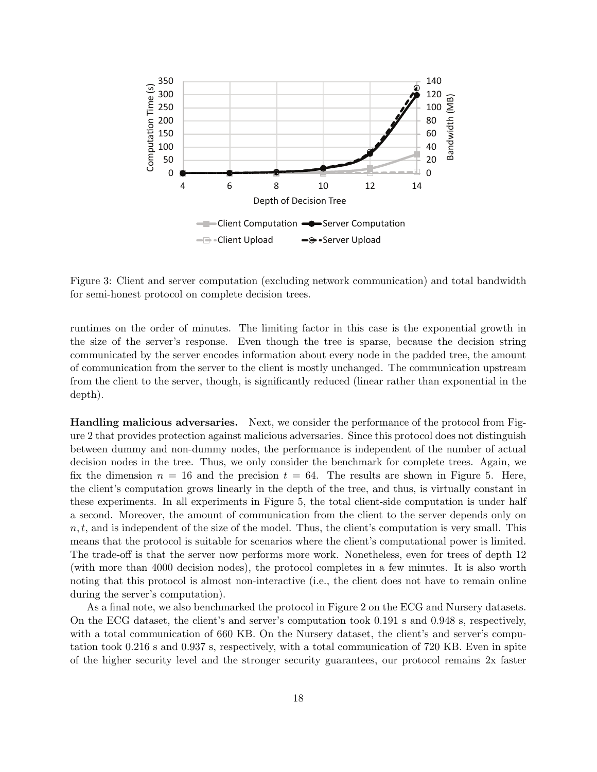<span id="page-17-0"></span>

Figure 3: Client and server computation (excluding network communication) and total bandwidth for semi-honest protocol on complete decision trees.

runtimes on the order of minutes. The limiting factor in this case is the exponential growth in the size of the server's response. Even though the tree is sparse, because the decision string communicated by the server encodes information about every node in the padded tree, the amount of communication from the server to the client is mostly unchanged. The communication upstream from the client to the server, though, is significantly reduced (linear rather than exponential in the depth).

Handling malicious adversaries. Next, we consider the performance of the protocol from Figure [2](#page-12-0) that provides protection against malicious adversaries. Since this protocol does not distinguish between dummy and non-dummy nodes, the performance is independent of the number of actual decision nodes in the tree. Thus, we only consider the benchmark for complete trees. Again, we fix the dimension  $n = 16$  and the precision  $t = 64$ . The results are shown in Figure [5.](#page-19-0) Here, the client's computation grows linearly in the depth of the tree, and thus, is virtually constant in these experiments. In all experiments in Figure [5,](#page-19-0) the total client-side computation is under half a second. Moreover, the amount of communication from the client to the server depends only on  $n, t$ , and is independent of the size of the model. Thus, the client's computation is very small. This means that the protocol is suitable for scenarios where the client's computational power is limited. The trade-off is that the server now performs more work. Nonetheless, even for trees of depth 12 (with more than 4000 decision nodes), the protocol completes in a few minutes. It is also worth noting that this protocol is almost non-interactive (i.e., the client does not have to remain online during the server's computation).

As a final note, we also benchmarked the protocol in Figure [2](#page-12-0) on the ECG and Nursery datasets. On the ECG dataset, the client's and server's computation took 0.191 s and 0.948 s, respectively, with a total communication of 660 KB. On the Nursery dataset, the client's and server's computation took 0.216 s and 0.937 s, respectively, with a total communication of 720 KB. Even in spite of the higher security level and the stronger security guarantees, our protocol remains 2x faster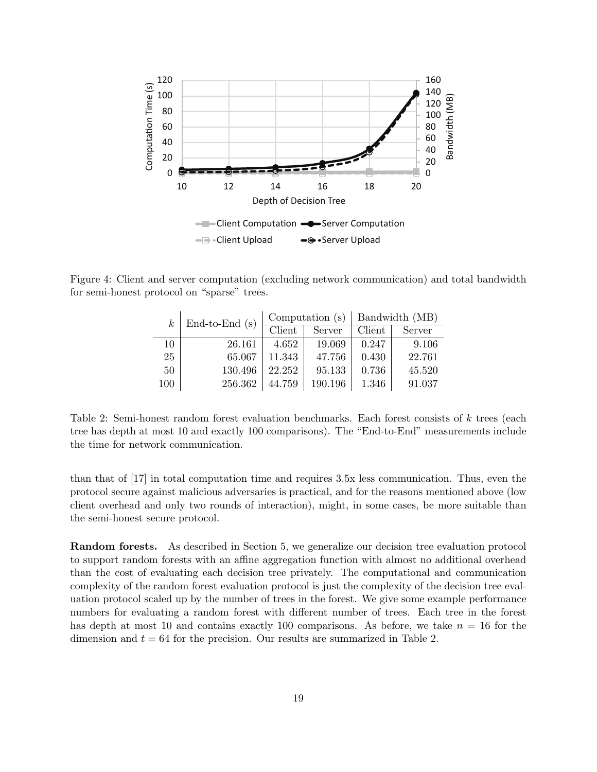<span id="page-18-0"></span>

<span id="page-18-1"></span>Figure 4: Client and server computation (excluding network communication) and total bandwidth for semi-honest protocol on "sparse" trees.

| $k_{\mathcal{C}}$ | End-to-End $(s)$ |        | Computation (s) | Bandwidth (MB) |        |
|-------------------|------------------|--------|-----------------|----------------|--------|
|                   |                  | Client | Server          | Client         | Server |
| 10                | 26.161           | 4.652  | 19.069          | 0.247          | 9.106  |
| 25                | 65.067           | 11.343 | 47.756          | 0.430          | 22.761 |
| 50                | 130.496          | 22.252 | 95.133          | 0.736          | 45.520 |
| 100               | 256.362          | 44.759 | 190.196         | 1.346          | 91.037 |

Table 2: Semi-honest random forest evaluation benchmarks. Each forest consists of k trees (each tree has depth at most 10 and exactly 100 comparisons). The "End-to-End" measurements include the time for network communication.

than that of [\[17\]](#page-24-3) in total computation time and requires 3.5x less communication. Thus, even the protocol secure against malicious adversaries is practical, and for the reasons mentioned above (low client overhead and only two rounds of interaction), might, in some cases, be more suitable than the semi-honest secure protocol.

Random forests. As described in Section [5,](#page-13-0) we generalize our decision tree evaluation protocol to support random forests with an affine aggregation function with almost no additional overhead than the cost of evaluating each decision tree privately. The computational and communication complexity of the random forest evaluation protocol is just the complexity of the decision tree evaluation protocol scaled up by the number of trees in the forest. We give some example performance numbers for evaluating a random forest with different number of trees. Each tree in the forest has depth at most 10 and contains exactly 100 comparisons. As before, we take  $n = 16$  for the dimension and  $t = 64$  for the precision. Our results are summarized in Table [2.](#page-18-1)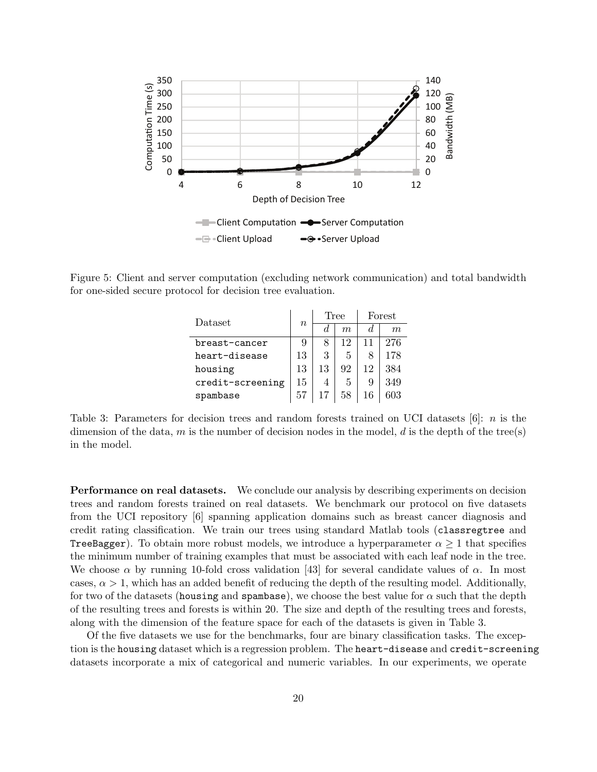<span id="page-19-0"></span>

<span id="page-19-1"></span>Figure 5: Client and server computation (excluding network communication) and total bandwidth for one-sided secure protocol for decision tree evaluation.

| Dataset          | $\boldsymbol{n}$ | Tree |    | Forest |     |
|------------------|------------------|------|----|--------|-----|
|                  |                  | d.   | m  | d.     | m   |
| breast-cancer    | 9                |      | 12 | 11     | 276 |
| heart-disease    | 13               | 3    | 5  | 8      | 178 |
| housing          | 13               | 13   | 92 | 12     | 384 |
| credit-screening | 15               | 4    | 5  | 9      | 349 |
| spambase         | 57               | 17   | 58 | 16     | 603 |

Table 3: Parameters for decision trees and random forests trained on UCI datasets  $[6]$ : *n* is the dimension of the data, m is the number of decision nodes in the model, d is the depth of the tree(s) in the model.

Performance on real datasets. We conclude our analysis by describing experiments on decision trees and random forests trained on real datasets. We benchmark our protocol on five datasets from the UCI repository [\[6\]](#page-24-6) spanning application domains such as breast cancer diagnosis and credit rating classification. We train our trees using standard Matlab tools (classregtree and **TreeBagger**). To obtain more robust models, we introduce a hyperparameter  $\alpha \geq 1$  that specifies the minimum number of training examples that must be associated with each leaf node in the tree. We choose  $\alpha$  by running 10-fold cross validation [\[43\]](#page-26-0) for several candidate values of  $\alpha$ . In most cases,  $\alpha > 1$ , which has an added benefit of reducing the depth of the resulting model. Additionally, for two of the datasets (housing and spambase), we choose the best value for  $\alpha$  such that the depth of the resulting trees and forests is within 20. The size and depth of the resulting trees and forests, along with the dimension of the feature space for each of the datasets is given in Table [3.](#page-19-1)

Of the five datasets we use for the benchmarks, four are binary classification tasks. The exception is the housing dataset which is a regression problem. The heart-disease and credit-screening datasets incorporate a mix of categorical and numeric variables. In our experiments, we operate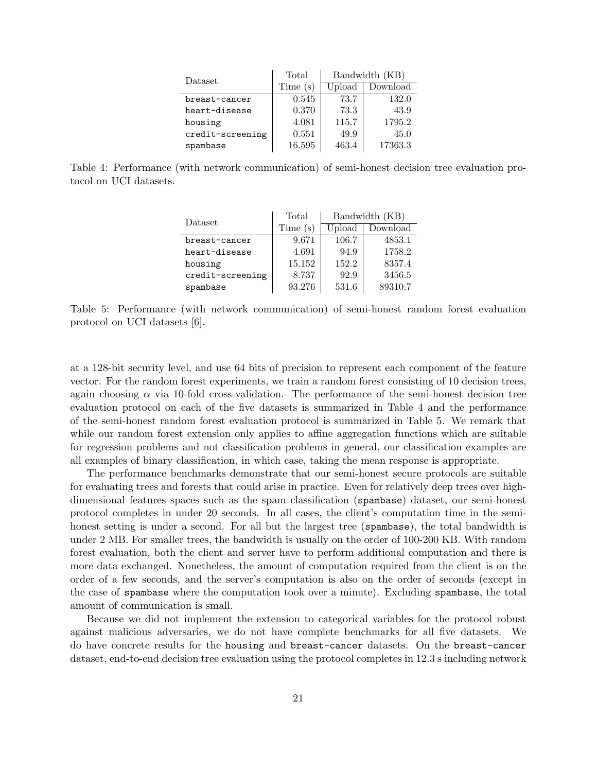| Dataset          | Total   | Bandwidth (KB) |          |  |
|------------------|---------|----------------|----------|--|
|                  | Time(s) | Upload         | Download |  |
| breast-cancer    | 0.545   | 73.7           | 132.0    |  |
| heart-disease    | 0.370   | 73.3           | 43.9     |  |
| housing          | 4.081   | 115.7          | 1795.2   |  |
| credit-screening | 0.551   | 49.9           | 45.0     |  |
| spambase         | 16.595  | 463.4          | 17363.3  |  |

<span id="page-20-1"></span><span id="page-20-0"></span>Table 4: Performance (with network communication) of semi-honest decision tree evaluation protocol on UCI datasets.

| Dataset          | Total   | Bandwidth (KB) |          |  |
|------------------|---------|----------------|----------|--|
|                  | Time(s) | Upload         | Download |  |
| breast-cancer    | 9.671   | 106.7          | 4853.1   |  |
| heart-disease    | 4.691   | 94.9           | 1758.2   |  |
| housing          | 15.152  | 152.2          | 8357.4   |  |
| credit-screening | 8.737   | 92.9           | 3456.5   |  |
| spambase         | 93.276  | 531.6          | 89310.7  |  |

Table 5: Performance (with network communication) of semi-honest random forest evaluation protocol on UCI datasets [\[6\]](#page-24-6).

at a 128-bit security level, and use 64 bits of precision to represent each component of the feature vector. For the random forest experiments, we train a random forest consisting of 10 decision trees, again choosing  $\alpha$  via 10-fold cross-validation. The performance of the semi-honest decision tree evaluation protocol on each of the five datasets is summarized in Table [4](#page-20-0) and the performance of the semi-honest random forest evaluation protocol is summarized in Table [5.](#page-20-1) We remark that while our random forest extension only applies to affine aggregation functions which are suitable for regression problems and not classification problems in general, our classification examples are all examples of binary classification, in which case, taking the mean response is appropriate.

The performance benchmarks demonstrate that our semi-honest secure protocols are suitable for evaluating trees and forests that could arise in practice. Even for relatively deep trees over highdimensional features spaces such as the spam classification (spambase) dataset, our semi-honest protocol completes in under 20 seconds. In all cases, the client's computation time in the semihonest setting is under a second. For all but the largest tree (spambase), the total bandwidth is under 2 MB. For smaller trees, the bandwidth is usually on the order of 100-200 KB. With random forest evaluation, both the client and server have to perform additional computation and there is more data exchanged. Nonetheless, the amount of computation required from the client is on the order of a few seconds, and the server's computation is also on the order of seconds (except in the case of spambase where the computation took over a minute). Excluding spambase, the total amount of communication is small.

Because we did not implement the extension to categorical variables for the protocol robust against malicious adversaries, we do not have complete benchmarks for all five datasets. We do have concrete results for the housing and breast-cancer datasets. On the breast-cancer dataset, end-to-end decision tree evaluation using the protocol completes in 12.3 s including network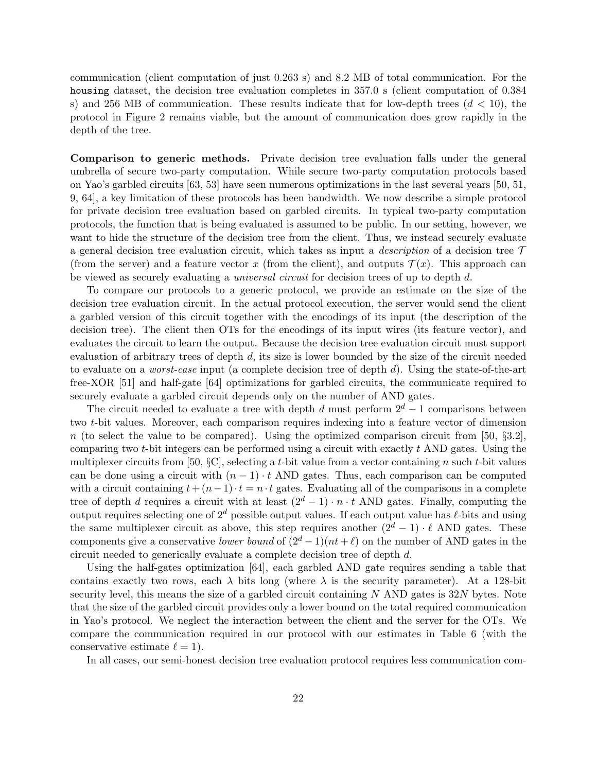communication (client computation of just 0.263 s) and 8.2 MB of total communication. For the housing dataset, the decision tree evaluation completes in 357.0 s (client computation of 0.384 s) and 256 MB of communication. These results indicate that for low-depth trees  $(d < 10)$ , the protocol in Figure [2](#page-12-0) remains viable, but the amount of communication does grow rapidly in the depth of the tree.

Comparison to generic methods. Private decision tree evaluation falls under the general umbrella of secure two-party computation. While secure two-party computation protocols based on Yao's garbled circuits [\[63,](#page-27-2) [53\]](#page-26-2) have seen numerous optimizations in the last several years [\[50,](#page-26-11) [51,](#page-26-3) [9,](#page-24-9) [64\]](#page-27-6), a key limitation of these protocols has been bandwidth. We now describe a simple protocol for private decision tree evaluation based on garbled circuits. In typical two-party computation protocols, the function that is being evaluated is assumed to be public. In our setting, however, we want to hide the structure of the decision tree from the client. Thus, we instead securely evaluate a general decision tree evaluation circuit, which takes as input a *description* of a decision tree  $\tau$ (from the server) and a feature vector x (from the client), and outputs  $\mathcal{T}(x)$ . This approach can be viewed as securely evaluating a universal circuit for decision trees of up to depth d.

To compare our protocols to a generic protocol, we provide an estimate on the size of the decision tree evaluation circuit. In the actual protocol execution, the server would send the client a garbled version of this circuit together with the encodings of its input (the description of the decision tree). The client then OTs for the encodings of its input wires (its feature vector), and evaluates the circuit to learn the output. Because the decision tree evaluation circuit must support evaluation of arbitrary trees of depth  $d$ , its size is lower bounded by the size of the circuit needed to evaluate on a *worst-case* input (a complete decision tree of depth  $d$ ). Using the state-of-the-art free-XOR [\[51\]](#page-26-3) and half-gate [\[64\]](#page-27-6) optimizations for garbled circuits, the communicate required to securely evaluate a garbled circuit depends only on the number of AND gates.

The circuit needed to evaluate a tree with depth d must perform  $2^d - 1$  comparisons between two t-bit values. Moreover, each comparison requires indexing into a feature vector of dimension n (to select the value to be compared). Using the optimized comparison circuit from [\[50,](#page-26-11)  $\S 3.2$ ]. comparing two  $t$ -bit integers can be performed using a circuit with exactly  $t$  AND gates. Using the multiplexer circuits from [\[50,](#page-26-11)  $\S$ C], selecting a t-bit value from a vector containing n such t-bit values can be done using a circuit with  $(n - 1) \cdot t$  AND gates. Thus, each comparison can be computed with a circuit containing  $t + (n-1) \cdot t = n \cdot t$  gates. Evaluating all of the comparisons in a complete tree of depth d requires a circuit with at least  $(2^d - 1) \cdot n \cdot t$  AND gates. Finally, computing the output requires selecting one of  $2^d$  possible output values. If each output value has  $\ell$ -bits and using the same multiplexer circuit as above, this step requires another  $(2^d - 1) \cdot \ell$  AND gates. These components give a conservative lower bound of  $(2^d - 1)(nt + \ell)$  on the number of AND gates in the circuit needed to generically evaluate a complete decision tree of depth d.

Using the half-gates optimization [\[64\]](#page-27-6), each garbled AND gate requires sending a table that contains exactly two rows, each  $\lambda$  bits long (where  $\lambda$  is the security parameter). At a 128-bit security level, this means the size of a garbled circuit containing  $N$  AND gates is 32 $N$  bytes. Note that the size of the garbled circuit provides only a lower bound on the total required communication in Yao's protocol. We neglect the interaction between the client and the server for the OTs. We compare the communication required in our protocol with our estimates in Table [6](#page-22-1) (with the conservative estimate  $\ell = 1$ .

In all cases, our semi-honest decision tree evaluation protocol requires less communication com-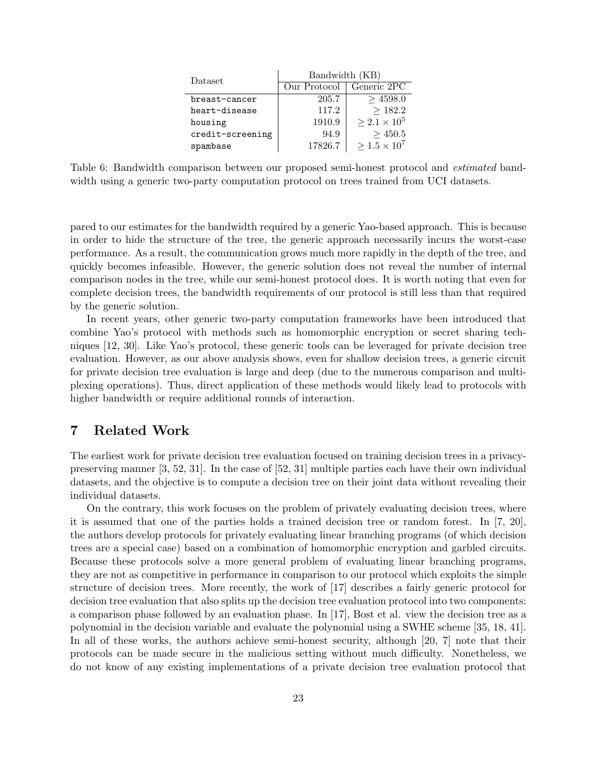| Dataset          | Bandwidth (KB) |                       |  |  |
|------------------|----------------|-----------------------|--|--|
|                  | Our Protocol   | Generic 2PC           |  |  |
| breast-cancer    | 205.7          | $>$ 4598.0            |  |  |
| heart-disease    | 117.2          | >182.2                |  |  |
| housing          | 1910.9         | $> 2.1 \times 10^5$   |  |  |
| credit-screening | 94.9           | >450.5                |  |  |
| spambase         | 17826.7        | $> 1.5 \times 10^{7}$ |  |  |

<span id="page-22-1"></span>Table 6: Bandwidth comparison between our proposed semi-honest protocol and estimated bandwidth using a generic two-party computation protocol on trees trained from UCI datasets.

pared to our estimates for the bandwidth required by a generic Yao-based approach. This is because in order to hide the structure of the tree, the generic approach necessarily incurs the worst-case performance. As a result, the communication grows much more rapidly in the depth of the tree, and quickly becomes infeasible. However, the generic solution does not reveal the number of internal comparison nodes in the tree, while our semi-honest protocol does. It is worth noting that even for complete decision trees, the bandwidth requirements of our protocol is still less than that required by the generic solution.

In recent years, other generic two-party computation frameworks have been introduced that combine Yao's protocol with methods such as homomorphic encryption or secret sharing techniques [\[12,](#page-24-16) [30\]](#page-25-16). Like Yao's protocol, these generic tools can be leveraged for private decision tree evaluation. However, as our above analysis shows, even for shallow decision trees, a generic circuit for private decision tree evaluation is large and deep (due to the numerous comparison and multiplexing operations). Thus, direct application of these methods would likely lead to protocols with higher bandwidth or require additional rounds of interaction.

### <span id="page-22-0"></span>7 Related Work

The earliest work for private decision tree evaluation focused on training decision trees in a privacypreserving manner [\[3,](#page-23-3) [52,](#page-26-12) [31\]](#page-25-17). In the case of [\[52,](#page-26-12) [31\]](#page-25-17) multiple parties each have their own individual datasets, and the objective is to compute a decision tree on their joint data without revealing their individual datasets.

On the contrary, this work focuses on the problem of privately evaluating decision trees, where it is assumed that one of the parties holds a trained decision tree or random forest. In [\[7,](#page-24-4) [20\]](#page-24-5), the authors develop protocols for privately evaluating linear branching programs (of which decision trees are a special case) based on a combination of homomorphic encryption and garbled circuits. Because these protocols solve a more general problem of evaluating linear branching programs, they are not as competitive in performance in comparison to our protocol which exploits the simple structure of decision trees. More recently, the work of [\[17\]](#page-24-3) describes a fairly generic protocol for decision tree evaluation that also splits up the decision tree evaluation protocol into two components: a comparison phase followed by an evaluation phase. In [\[17\]](#page-24-3), Bost et al. view the decision tree as a polynomial in the decision variable and evaluate the polynomial using a SWHE scheme [\[35,](#page-25-3) [18,](#page-24-17) [41\]](#page-26-13). In all of these works, the authors achieve semi-honest security, although [\[20,](#page-24-5) [7\]](#page-24-4) note that their protocols can be made secure in the malicious setting without much difficulty. Nonetheless, we do not know of any existing implementations of a private decision tree evaluation protocol that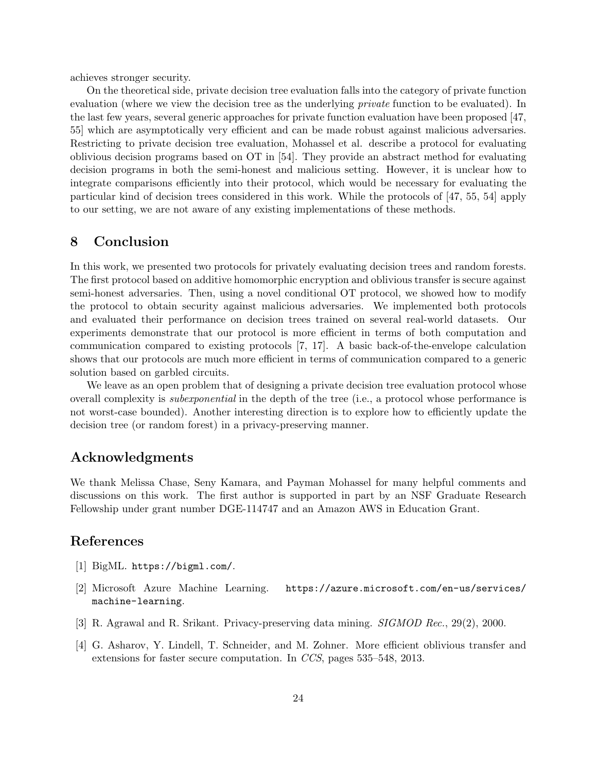achieves stronger security.

On the theoretical side, private decision tree evaluation falls into the category of private function evaluation (where we view the decision tree as the underlying *private* function to be evaluated). In the last few years, several generic approaches for private function evaluation have been proposed [\[47,](#page-26-14) [55\]](#page-26-15) which are asymptotically very efficient and can be made robust against malicious adversaries. Restricting to private decision tree evaluation, Mohassel et al. describe a protocol for evaluating oblivious decision programs based on OT in [\[54\]](#page-26-16). They provide an abstract method for evaluating decision programs in both the semi-honest and malicious setting. However, it is unclear how to integrate comparisons efficiently into their protocol, which would be necessary for evaluating the particular kind of decision trees considered in this work. While the protocols of [\[47,](#page-26-14) [55,](#page-26-15) [54\]](#page-26-16) apply to our setting, we are not aware of any existing implementations of these methods.

### 8 Conclusion

In this work, we presented two protocols for privately evaluating decision trees and random forests. The first protocol based on additive homomorphic encryption and oblivious transfer is secure against semi-honest adversaries. Then, using a novel conditional OT protocol, we showed how to modify the protocol to obtain security against malicious adversaries. We implemented both protocols and evaluated their performance on decision trees trained on several real-world datasets. Our experiments demonstrate that our protocol is more efficient in terms of both computation and communication compared to existing protocols [\[7,](#page-24-4) [17\]](#page-24-3). A basic back-of-the-envelope calculation shows that our protocols are much more efficient in terms of communication compared to a generic solution based on garbled circuits.

We leave as an open problem that of designing a private decision tree evaluation protocol whose overall complexity is *subexponential* in the depth of the tree (i.e., a protocol whose performance is not worst-case bounded). Another interesting direction is to explore how to efficiently update the decision tree (or random forest) in a privacy-preserving manner.

# Acknowledgments

We thank Melissa Chase, Seny Kamara, and Payman Mohassel for many helpful comments and discussions on this work. The first author is supported in part by an NSF Graduate Research Fellowship under grant number DGE-114747 and an Amazon AWS in Education Grant.

# References

- <span id="page-23-1"></span>[1] BigML. <https://bigml.com/>.
- <span id="page-23-0"></span>[2] Microsoft Azure Machine Learning. [https://azure.microsoft.com/en-us/services/](https://azure.microsoft.com/en-us/services/machine-learning) [machine-learning](https://azure.microsoft.com/en-us/services/machine-learning).
- <span id="page-23-3"></span>[3] R. Agrawal and R. Srikant. Privacy-preserving data mining. SIGMOD Rec., 29(2), 2000.
- <span id="page-23-2"></span>[4] G. Asharov, Y. Lindell, T. Schneider, and M. Zohner. More efficient oblivious transfer and extensions for faster secure computation. In CCS, pages 535–548, 2013.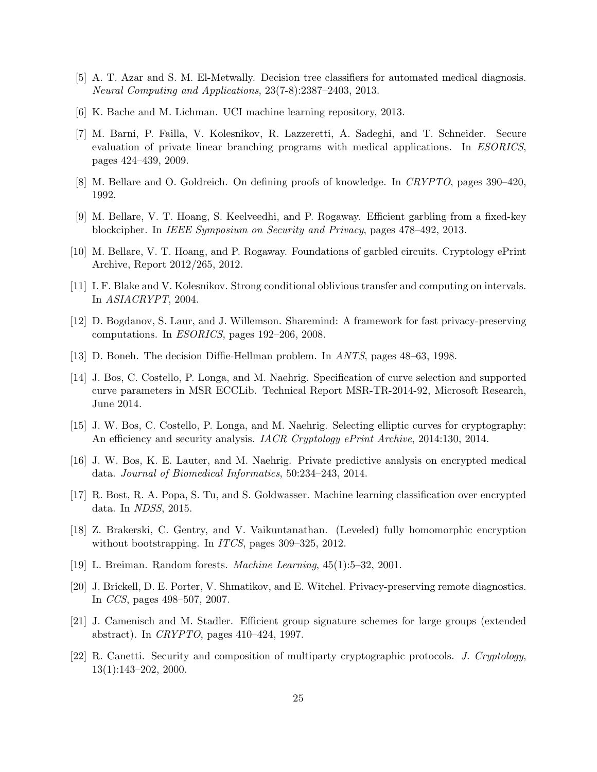- <span id="page-24-1"></span>[5] A. T. Azar and S. M. El-Metwally. Decision tree classifiers for automated medical diagnosis. Neural Computing and Applications, 23(7-8):2387–2403, 2013.
- <span id="page-24-6"></span>[6] K. Bache and M. Lichman. UCI machine learning repository, 2013.
- <span id="page-24-4"></span>[7] M. Barni, P. Failla, V. Kolesnikov, R. Lazzeretti, A. Sadeghi, and T. Schneider. Secure evaluation of private linear branching programs with medical applications. In ESORICS, pages 424–439, 2009.
- <span id="page-24-12"></span>[8] M. Bellare and O. Goldreich. On defining proofs of knowledge. In CRYPTO, pages 390–420, 1992.
- <span id="page-24-9"></span>[9] M. Bellare, V. T. Hoang, S. Keelveedhi, and P. Rogaway. Efficient garbling from a fixed-key blockcipher. In IEEE Symposium on Security and Privacy, pages 478–492, 2013.
- <span id="page-24-8"></span>[10] M. Bellare, V. T. Hoang, and P. Rogaway. Foundations of garbled circuits. Cryptology ePrint Archive, Report 2012/265, 2012.
- <span id="page-24-2"></span>[11] I. F. Blake and V. Kolesnikov. Strong conditional oblivious transfer and computing on intervals. In ASIACRYPT, 2004.
- <span id="page-24-16"></span>[12] D. Bogdanov, S. Laur, and J. Willemson. Sharemind: A framework for fast privacy-preserving computations. In ESORICS, pages 192–206, 2008.
- <span id="page-24-13"></span>[13] D. Boneh. The decision Diffie-Hellman problem. In ANTS, pages 48–63, 1998.
- <span id="page-24-14"></span>[14] J. Bos, C. Costello, P. Longa, and M. Naehrig. Specification of curve selection and supported curve parameters in MSR ECCLib. Technical Report MSR-TR-2014-92, Microsoft Research, June 2014.
- <span id="page-24-15"></span>[15] J. W. Bos, C. Costello, P. Longa, and M. Naehrig. Selecting elliptic curves for cryptography: An efficiency and security analysis. IACR Cryptology ePrint Archive, 2014:130, 2014.
- <span id="page-24-7"></span>[16] J. W. Bos, K. E. Lauter, and M. Naehrig. Private predictive analysis on encrypted medical data. Journal of Biomedical Informatics, 50:234–243, 2014.
- <span id="page-24-3"></span>[17] R. Bost, R. A. Popa, S. Tu, and S. Goldwasser. Machine learning classification over encrypted data. In NDSS, 2015.
- <span id="page-24-17"></span>[18] Z. Brakerski, C. Gentry, and V. Vaikuntanathan. (Leveled) fully homomorphic encryption without bootstrapping. In *ITCS*, pages 309–325, 2012.
- <span id="page-24-0"></span>[19] L. Breiman. Random forests. Machine Learning, 45(1):5–32, 2001.
- <span id="page-24-5"></span>[20] J. Brickell, D. E. Porter, V. Shmatikov, and E. Witchel. Privacy-preserving remote diagnostics. In CCS, pages 498–507, 2007.
- <span id="page-24-11"></span>[21] J. Camenisch and M. Stadler. Efficient group signature schemes for large groups (extended abstract). In CRYPTO, pages 410–424, 1997.
- <span id="page-24-10"></span>[22] R. Canetti. Security and composition of multiparty cryptographic protocols. J. Cryptology, 13(1):143–202, 2000.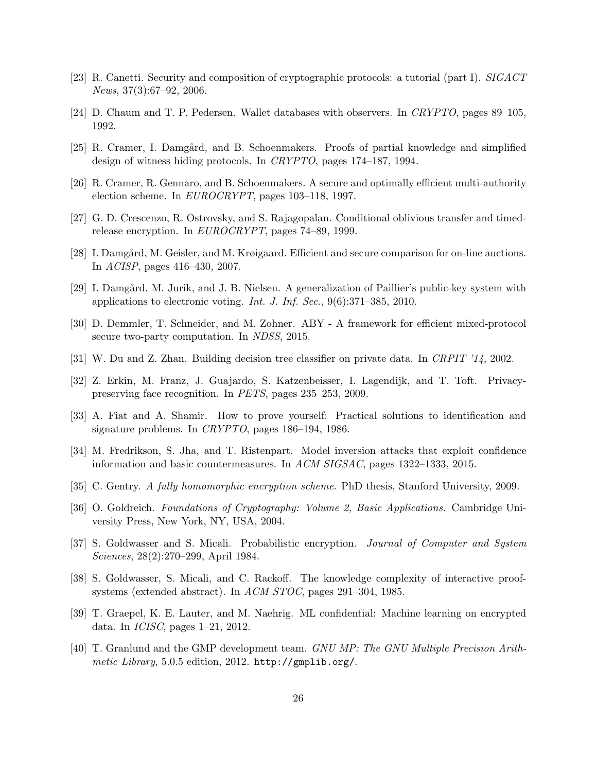- <span id="page-25-8"></span>[23] R. Canetti. Security and composition of cryptographic protocols: a tutorial (part I). SIGACT News, 37(3):67–92, 2006.
- <span id="page-25-12"></span>[24] D. Chaum and T. P. Pedersen. Wallet databases with observers. In CRYPTO, pages 89–105, 1992.
- <span id="page-25-13"></span>[25] R. Cramer, I. Damgård, and B. Schoenmakers. Proofs of partial knowledge and simplified design of witness hiding protocols. In CRYPTO, pages 174–187, 1994.
- <span id="page-25-11"></span>[26] R. Cramer, R. Gennaro, and B. Schoenmakers. A secure and optimally efficient multi-authority election scheme. In EUROCRYPT, pages 103–118, 1997.
- <span id="page-25-2"></span>[27] G. D. Crescenzo, R. Ostrovsky, and S. Rajagopalan. Conditional oblivious transfer and timedrelease encryption. In EUROCRYPT, pages 74–89, 1999.
- <span id="page-25-1"></span>[28] I. Damgård, M. Geisler, and M. Krøigaard. Efficient and secure comparison for on-line auctions. In ACISP, pages 416–430, 2007.
- <span id="page-25-6"></span>[29] I. Damgård, M. Jurik, and J. B. Nielsen. A generalization of Paillier's public-key system with applications to electronic voting. Int. J. Inf. Sec., 9(6):371–385, 2010.
- <span id="page-25-16"></span>[30] D. Demmler, T. Schneider, and M. Zohner. ABY - A framework for efficient mixed-protocol secure two-party computation. In NDSS, 2015.
- <span id="page-25-17"></span>[31] W. Du and Z. Zhan. Building decision tree classifier on private data. In CRPIT '14, 2002.
- <span id="page-25-9"></span>[32] Z. Erkin, M. Franz, J. Guajardo, S. Katzenbeisser, I. Lagendijk, and T. Toft. Privacypreserving face recognition. In PETS, pages 235–253, 2009.
- <span id="page-25-14"></span>[33] A. Fiat and A. Shamir. How to prove yourself: Practical solutions to identification and signature problems. In CRYPTO, pages 186–194, 1986.
- <span id="page-25-0"></span>[34] M. Fredrikson, S. Jha, and T. Ristenpart. Model inversion attacks that exploit confidence information and basic countermeasures. In ACM SIGSAC, pages 1322–1333, 2015.
- <span id="page-25-3"></span>[35] C. Gentry. A fully homomorphic encryption scheme. PhD thesis, Stanford University, 2009.
- <span id="page-25-7"></span>[36] O. Goldreich. Foundations of Cryptography: Volume 2, Basic Applications. Cambridge University Press, New York, NY, USA, 2004.
- <span id="page-25-5"></span>[37] S. Goldwasser and S. Micali. Probabilistic encryption. Journal of Computer and System Sciences, 28(2):270–299, April 1984.
- <span id="page-25-10"></span>[38] S. Goldwasser, S. Micali, and C. Rackoff. The knowledge complexity of interactive proofsystems (extended abstract). In ACM STOC, pages 291–304, 1985.
- <span id="page-25-4"></span>[39] T. Graepel, K. E. Lauter, and M. Naehrig. ML confidential: Machine learning on encrypted data. In ICISC, pages 1–21, 2012.
- <span id="page-25-15"></span>[40] T. Granlund and the GMP development team. GNU MP: The GNU Multiple Precision Arithmetic Library, 5.0.5 edition, 2012. <http://gmplib.org/>.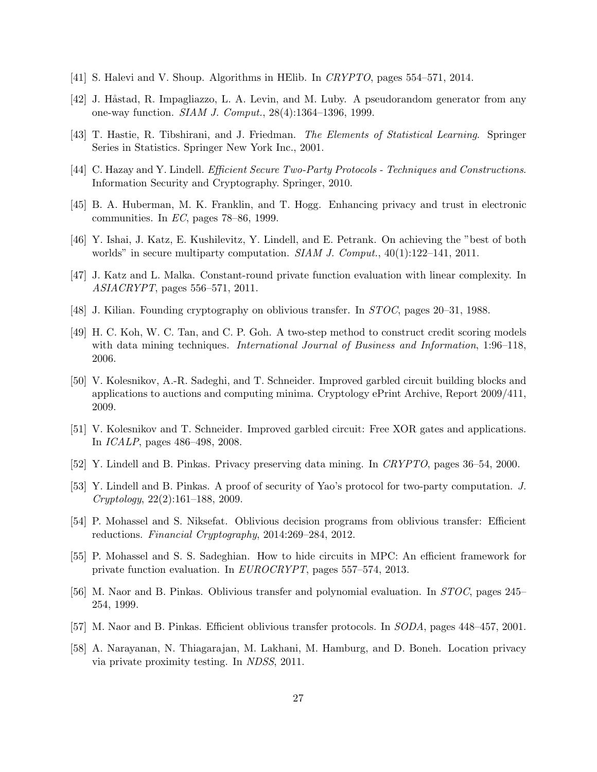- <span id="page-26-13"></span>[41] S. Halevi and V. Shoup. Algorithms in HElib. In CRYPTO, pages 554–571, 2014.
- <span id="page-26-9"></span>[42] J. Håstad, R. Impagliazzo, L. A. Levin, and M. Luby. A pseudorandom generator from any one-way function. SIAM J. Comput., 28(4):1364–1396, 1999.
- <span id="page-26-0"></span>[43] T. Hastie, R. Tibshirani, and J. Friedman. The Elements of Statistical Learning. Springer Series in Statistics. Springer New York Inc., 2001.
- <span id="page-26-6"></span>[44] C. Hazay and Y. Lindell. Efficient Secure Two-Party Protocols - Techniques and Constructions. Information Security and Cryptography. Springer, 2010.
- <span id="page-26-8"></span>[45] B. A. Huberman, M. K. Franklin, and T. Hogg. Enhancing privacy and trust in electronic communities. In  $EC$ , pages 78–86, 1999.
- <span id="page-26-7"></span>[46] Y. Ishai, J. Katz, E. Kushilevitz, Y. Lindell, and E. Petrank. On achieving the "best of both worlds" in secure multiparty computation. *SIAM J. Comput.*,  $40(1):122-141$ ,  $2011$ .
- <span id="page-26-14"></span>[47] J. Katz and L. Malka. Constant-round private function evaluation with linear complexity. In ASIACRYPT, pages 556–571, 2011.
- <span id="page-26-17"></span>[48] J. Kilian. Founding cryptography on oblivious transfer. In STOC, pages 20–31, 1988.
- <span id="page-26-1"></span>[49] H. C. Koh, W. C. Tan, and C. P. Goh. A two-step method to construct credit scoring models with data mining techniques. *International Journal of Business and Information*, 1:96–118, 2006.
- <span id="page-26-11"></span>[50] V. Kolesnikov, A.-R. Sadeghi, and T. Schneider. Improved garbled circuit building blocks and applications to auctions and computing minima. Cryptology ePrint Archive, Report 2009/411, 2009.
- <span id="page-26-3"></span>[51] V. Kolesnikov and T. Schneider. Improved garbled circuit: Free XOR gates and applications. In ICALP, pages 486–498, 2008.
- <span id="page-26-12"></span>[52] Y. Lindell and B. Pinkas. Privacy preserving data mining. In CRYPTO, pages 36–54, 2000.
- <span id="page-26-2"></span>[53] Y. Lindell and B. Pinkas. A proof of security of Yao's protocol for two-party computation. J. Cryptology, 22(2):161–188, 2009.
- <span id="page-26-16"></span>[54] P. Mohassel and S. Niksefat. Oblivious decision programs from oblivious transfer: Efficient reductions. Financial Cryptography, 2014:269–284, 2012.
- <span id="page-26-15"></span>[55] P. Mohassel and S. S. Sadeghian. How to hide circuits in MPC: An efficient framework for private function evaluation. In EUROCRYPT, pages 557–574, 2013.
- <span id="page-26-4"></span>[56] M. Naor and B. Pinkas. Oblivious transfer and polynomial evaluation. In STOC, pages 245– 254, 1999.
- <span id="page-26-5"></span>[57] M. Naor and B. Pinkas. Efficient oblivious transfer protocols. In SODA, pages 448–457, 2001.
- <span id="page-26-10"></span>[58] A. Narayanan, N. Thiagarajan, M. Lakhani, M. Hamburg, and D. Boneh. Location privacy via private proximity testing. In NDSS, 2011.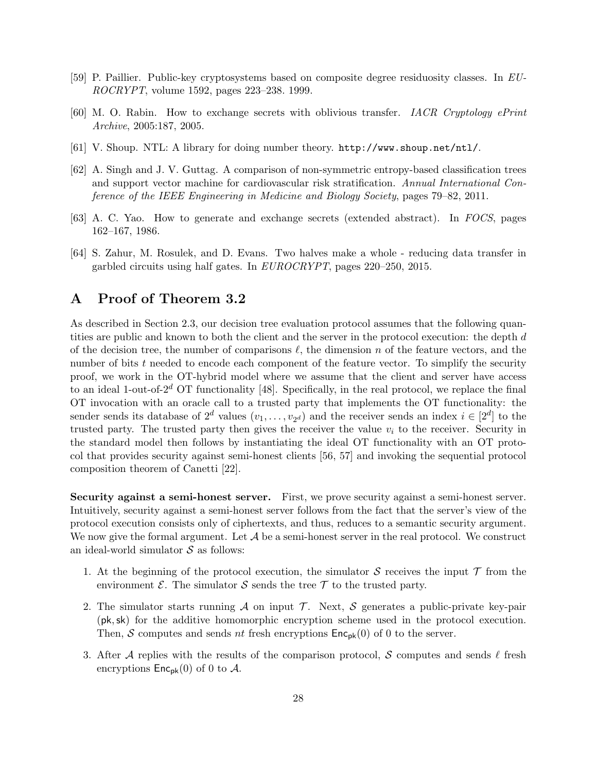- <span id="page-27-1"></span>[59] P. Paillier. Public-key cryptosystems based on composite degree residuosity classes. In EU-ROCRYPT, volume 1592, pages 223–238. 1999.
- <span id="page-27-3"></span>[60] M. O. Rabin. How to exchange secrets with oblivious transfer. IACR Cryptology ePrint Archive, 2005:187, 2005.
- <span id="page-27-5"></span>[61] V. Shoup. NTL: A library for doing number theory. <http://www.shoup.net/ntl/>.
- <span id="page-27-0"></span>[62] A. Singh and J. V. Guttag. A comparison of non-symmetric entropy-based classification trees and support vector machine for cardiovascular risk stratification. Annual International Conference of the IEEE Engineering in Medicine and Biology Society, pages 79–82, 2011.
- <span id="page-27-2"></span>[63] A. C. Yao. How to generate and exchange secrets (extended abstract). In FOCS, pages 162–167, 1986.
- <span id="page-27-6"></span>[64] S. Zahur, M. Rosulek, and D. Evans. Two halves make a whole - reducing data transfer in garbled circuits using half gates. In EUROCRYPT, pages 220–250, 2015.

### <span id="page-27-4"></span>A Proof of Theorem [3.2](#page-8-0)

As described in Section [2.3,](#page-4-0) our decision tree evaluation protocol assumes that the following quantities are public and known to both the client and the server in the protocol execution: the depth d of the decision tree, the number of comparisons  $\ell$ , the dimension n of the feature vectors, and the number of bits  $t$  needed to encode each component of the feature vector. To simplify the security proof, we work in the OT-hybrid model where we assume that the client and server have access to an ideal 1-out-of- $2^d$  OT functionality [\[48\]](#page-26-17). Specifically, in the real protocol, we replace the final OT invocation with an oracle call to a trusted party that implements the OT functionality: the sender sends its database of  $2^d$  values  $(v_1, \ldots, v_{2^d})$  and the receiver sends an index  $i \in [2^d]$  to the trusted party. The trusted party then gives the receiver the value  $v_i$  to the receiver. Security in the standard model then follows by instantiating the ideal OT functionality with an OT protocol that provides security against semi-honest clients [\[56,](#page-26-4) [57\]](#page-26-5) and invoking the sequential protocol composition theorem of Canetti [\[22\]](#page-24-10).

Security against a semi-honest server. First, we prove security against a semi-honest server. Intuitively, security against a semi-honest server follows from the fact that the server's view of the protocol execution consists only of ciphertexts, and thus, reduces to a semantic security argument. We now give the formal argument. Let  $A$  be a semi-honest server in the real protocol. We construct an ideal-world simulator  $S$  as follows:

- 1. At the beginning of the protocol execution, the simulator S receives the input  $\mathcal T$  from the environment  $\mathcal{E}$ . The simulator  $\mathcal{S}$  sends the tree  $\mathcal{T}$  to the trusted party.
- 2. The simulator starts running  $A$  on input  $T$ . Next,  $S$  generates a public-private key-pair (pk,sk) for the additive homomorphic encryption scheme used in the protocol execution. Then, S computes and sends nt fresh encryptions  $\mathsf{Enc}_{\mathsf{pk}}(0)$  of 0 to the server.
- 3. After A replies with the results of the comparison protocol, S computes and sends  $\ell$  fresh encryptions  $\mathsf{Enc}_{\mathsf{pk}}(0)$  of 0 to A.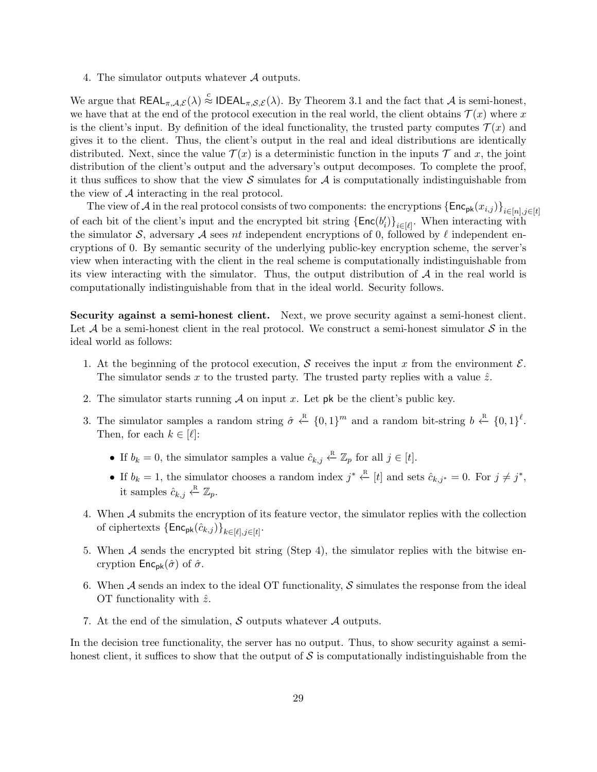4. The simulator outputs whatever A outputs.

We argue that  $REAL_{\pi,\mathcal{A},\mathcal{E}}(\lambda) \stackrel{c}{\approx} IDEAL_{\pi,\mathcal{S},\mathcal{E}}(\lambda)$ . By Theorem [3.1](#page-8-1) and the fact that A is semi-honest, we have that at the end of the protocol execution in the real world, the client obtains  $\mathcal{T}(x)$  where x is the client's input. By definition of the ideal functionality, the trusted party computes  $\mathcal{T}(x)$  and gives it to the client. Thus, the client's output in the real and ideal distributions are identically distributed. Next, since the value  $\mathcal{T}(x)$  is a deterministic function in the inputs  $\mathcal{T}$  and x, the joint distribution of the client's output and the adversary's output decomposes. To complete the proof, it thus suffices to show that the view S simulates for  $A$  is computationally indistinguishable from the view of A interacting in the real protocol.

The view of A in the real protocol consists of two components: the encryptions  $\{\textsf{Enc}_{\textsf{pk}}(x_{i,j})\}_{i\in[n],j\in[t]}$ of each bit of the client's input and the encrypted bit string  $\{\textsf{Enc}(b'_i)\}_{i\in[\ell]}$ . When interacting with the simulator S, adversary A sees nt independent encryptions of 0, followed by  $\ell$  independent encryptions of 0. By semantic security of the underlying public-key encryption scheme, the server's view when interacting with the client in the real scheme is computationally indistinguishable from its view interacting with the simulator. Thus, the output distribution of  $A$  in the real world is computationally indistinguishable from that in the ideal world. Security follows.

Security against a semi-honest client. Next, we prove security against a semi-honest client. Let A be a semi-honest client in the real protocol. We construct a semi-honest simulator  $S$  in the ideal world as follows:

- 1. At the beginning of the protocol execution, S receives the input x from the environment  $\mathcal{E}$ . The simulator sends x to the trusted party. The trusted party replies with a value  $\hat{z}$ .
- 2. The simulator starts running  $\mathcal A$  on input x. Let pk be the client's public key.
- 3. The simulator samples a random string  $\hat{\sigma} \leftarrow^{\text{R}} \{0,1\}^m$  and a random bit-string  $b \leftarrow^{\text{R}} \{0,1\}^{\ell}$ . Then, for each  $k \in [\ell]:$ 
	- If  $b_k = 0$ , the simulator samples a value  $\hat{c}_{k,j} \stackrel{\text{R}}{\leftarrow} \mathbb{Z}_p$  for all  $j \in [t]$ .
	- If  $b_k = 1$ , the simulator chooses a random index  $j^* \stackrel{\text{R}}{\leftarrow} [t]$  and sets  $\hat{c}_{k,j^*} = 0$ . For  $j \neq j^*$ , it samples  $\hat{c}_{k,j} \stackrel{\text{R}}{\leftarrow} \mathbb{Z}_p$ .
- 4. When A submits the encryption of its feature vector, the simulator replies with the collection of ciphertexts  $\{\mathsf{Enc}_{\mathsf{pk}}(\hat{c}_{k,j})\}_{k \in [\ell], j \in [t]}.$
- 5. When  $A$  sends the encrypted bit string (Step 4), the simulator replies with the bitwise encryption  $\mathsf{Enc}_{\mathsf{pk}}(\hat{\sigma})$  of  $\hat{\sigma}$ .
- 6. When  $\mathcal A$  sends an index to the ideal OT functionality,  $\mathcal S$  simulates the response from the ideal OT functionality with  $\hat{z}$ .
- 7. At the end of the simulation,  $S$  outputs whatever  $A$  outputs.

In the decision tree functionality, the server has no output. Thus, to show security against a semihonest client, it suffices to show that the output of  $\mathcal S$  is computationally indistinguishable from the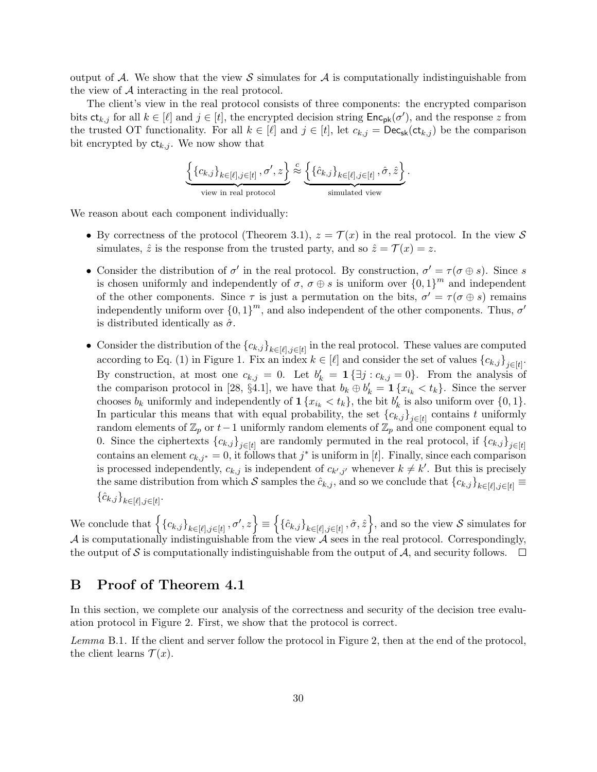output of A. We show that the view S simulates for A is computationally indistinguishable from the view of A interacting in the real protocol.

The client's view in the real protocol consists of three components: the encrypted comparison bits  $\mathsf{ct}_{k,j}$  for all  $k \in [\ell]$  and  $j \in [t]$ , the encrypted decision string  $\mathsf{Enc}_{\mathsf{pk}}(\sigma')$ , and the response z from the trusted OT functionality. For all  $k \in [\ell]$  and  $j \in [t]$ , let  $c_{k,j} = \text{Dec}_{\text{sk}}(\text{ct}_{k,j})$  be the comparison bit encrypted by  $ct_{k,j}$ . We now show that

$$
\underbrace{\left\{\left\{c_{k,j}\right\}_{k\in[\ell],j\in[t]},\sigma',z\right\}}_{\text{view in real protocol}}\stackrel{c}{\approx}\underbrace{\left\{\left\{\hat{c}_{k,j}\right\}_{k\in[\ell],j\in[t]},\hat{\sigma},\hat{z}\right\}}_{\text{simulated view}}.
$$

We reason about each component individually:

- By correctness of the protocol (Theorem [3.1\)](#page-8-1),  $z = \mathcal{T}(x)$  in the real protocol. In the view S simulates,  $\hat{z}$  is the response from the trusted party, and so  $\hat{z} = \mathcal{T}(x) = z$ .
- Consider the distribution of  $\sigma'$  in the real protocol. By construction,  $\sigma' = \tau(\sigma \oplus s)$ . Since s is chosen uniformly and independently of  $\sigma$ ,  $\sigma \oplus s$  is uniform over  $\{0,1\}^m$  and independent of the other components. Since  $\tau$  is just a permutation on the bits,  $\sigma' = \tau(\sigma \oplus s)$  remains independently uniform over  ${0,1}^m$ , and also independent of the other components. Thus,  $\sigma'$ is distributed identically as  $\hat{\sigma}$ .
- Consider the distribution of the  ${c_{k,j}}_{k\in[\ell],j\in[t]}$  in the real protocol. These values are computed according to Eq. [\(1\)](#page-9-5) in Figure [1.](#page-9-0) Fix an index  $k \in [\ell]$  and consider the set of values  ${c_{k,j}}_{j \in [t]}$ . By construction, at most one  $c_{k,j} = 0$ . Let  $b'_k = \mathbf{1} \{ \exists j : c_{k,j} = 0 \}$ . From the analysis of the comparison protocol in [\[28,](#page-25-1) §4.1], we have that  $b_k \oplus b'_k = \mathbf{1} \{x_{i_k} < t_k\}$ . Since the server chooses  $b_k$  uniformly and independently of  $\mathbf{1}\{x_{i_k} < t_k\}$ , the bit  $b'_k$  is also uniform over  $\{0, 1\}$ . In particular this means that with equal probability, the set  ${c_{k,j}}_{j\in[t]}$  contains t uniformly random elements of  $\mathbb{Z}_p$  or  $t-1$  uniformly random elements of  $\mathbb{Z}_p$  and one component equal to 0. Since the ciphertexts  ${c_{k,j}}_{j\in[t]}$  are randomly permuted in the real protocol, if  ${c_{k,j}}_{j\in[t]}$ contains an element  $c_{k,j^*} = 0$ , it follows that  $j^*$  is uniform in [t]. Finally, since each comparison is processed independently,  $c_{k,j}$  is independent of  $c_{k',j'}$  whenever  $k \neq k'$ . But this is precisely the same distribution from which S samples the  $\hat{c}_{k,j}$ , and so we conclude that  ${c_{k,j}}_{k\in[\ell],j\in[t]}$  $\{\hat{c}_{k,j}\}_{k \in [\ell], j \in [t]}$ .

We conclude that  $\left\{\left\{c_{k,j}\right\}_{k\in[\ell],j\in[t]},\sigma',z\right\} \equiv \left\{\left\{\hat{c}_{k,j}\right\}_{k\in[\ell],j\in[t]},\hat{\sigma},\hat{z}\right\}$ , and so the view S simulates for A is computationally indistinguishable from the view A sees in the real protocol. Correspondingly, the output of S is computationally indistinguishable from the output of  $\mathcal A$ , and security follows.  $\Box$ 

### <span id="page-29-0"></span>B Proof of Theorem [4.1](#page-13-2)

In this section, we complete our analysis of the correctness and security of the decision tree evaluation protocol in Figure [2.](#page-12-0) First, we show that the protocol is correct.

<span id="page-29-1"></span>Lemma B.1. If the client and server follow the protocol in Figure [2,](#page-12-0) then at the end of the protocol, the client learns  $\mathcal{T}(x)$ .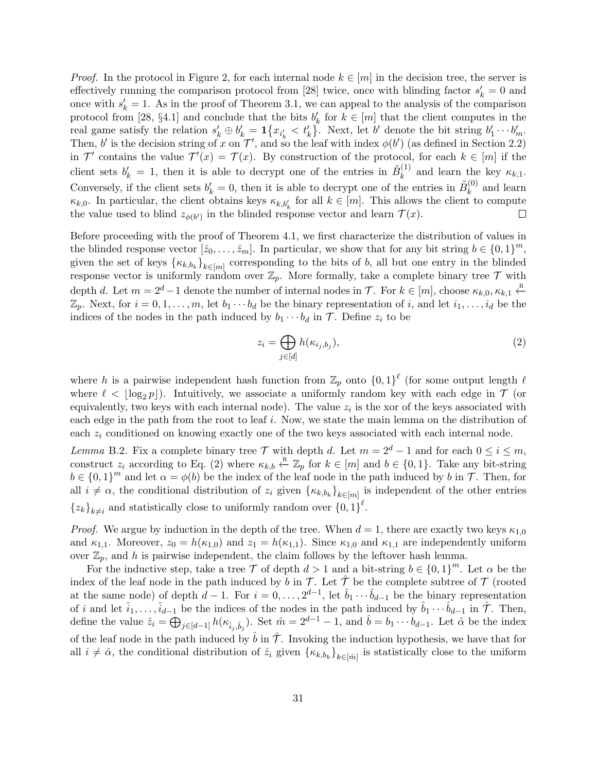*Proof.* In the protocol in Figure [2,](#page-12-0) for each internal node  $k \in [m]$  in the decision tree, the server is effectively running the comparison protocol from [\[28\]](#page-25-1) twice, once with blinding factor  $s'_{k} = 0$  and once with  $s'_k = 1$ . As in the proof of Theorem [3.1,](#page-8-1) we can appeal to the analysis of the comparison protocol from [\[28,](#page-25-1) §4.1] and conclude that the bits  $b'_k$  for  $k \in [m]$  that the client computes in the real game satisfy the relation  $s'_k \oplus b'_k = \mathbf{1}\{x_{i'_k} < t'_k\}$ . Next, let b' denote the bit string  $b'_1 \cdots b'_m$ . Then, b' is the decision string of x on  $\mathcal{T}'$ , and so the leaf with index  $\phi(b')$  (as defined in Section [2.2\)](#page-3-0) in T' contains the value  $\mathcal{T}'(x) = \mathcal{T}(x)$ . By construction of the protocol, for each  $k \in [m]$  if the client sets  $b'_k = 1$ , then it is able to decrypt one of the entries in  $\tilde{B}_k^{(1)}$  $\kappa_k^{(1)}$  and learn the key  $\kappa_{k,1}$ . Conversely, if the client sets  $b'_k = 0$ , then it is able to decrypt one of the entries in  $\tilde{B}_k^{(0)}$  $k^{(0)}$  and learn  $\kappa_{k,0}$ . In particular, the client obtains keys  $\kappa_{k,b'_k}$  for all  $k \in [m]$ . This allows the client to compute the value used to blind  $z_{\phi(b')}$  in the blinded response vector and learn  $\mathcal{T}(x)$ .  $\Box$ 

Before proceeding with the proof of Theorem [4.1,](#page-13-2) we first characterize the distribution of values in the blinded response vector  $[\hat{z}_0, \ldots, \hat{z}_m]$ . In particular, we show that for any bit string  $b \in \{0, 1\}^m$ , given the set of keys  $\{\kappa_{k,b_k}\}_{k\in[m]}$  corresponding to the bits of b, all but one entry in the blinded response vector is uniformly random over  $\mathbb{Z}_p$ . More formally, take a complete binary tree  $\mathcal T$  with depth d. Let  $m = 2^d - 1$  denote the number of internal nodes in  $\mathcal{T}$ . For  $k \in [m]$ , choose  $\kappa_{k,0}, \kappa_{k,1} \stackrel{\text{R}}{\leftarrow}$  $\mathbb{Z}_p$ . Next, for  $i = 0, 1, \ldots, m$ , let  $b_1 \cdots b_d$  be the binary representation of i, and let  $i_1, \ldots, i_d$  be the indices of the nodes in the path induced by  $b_1 \cdots b_d$  in  $\mathcal{T}$ . Define  $z_i$  to be

<span id="page-30-0"></span>
$$
z_i = \bigoplus_{j \in [d]} h(\kappa_{i_j, b_j}),\tag{2}
$$

where h is a pairwise independent hash function from  $\mathbb{Z}_p$  onto  $\{0,1\}^{\ell}$  (for some output length  $\ell$ where  $\ell < |\log_2 p|$ ). Intuitively, we associate a uniformly random key with each edge in  $\mathcal{T}$  (or equivalently, two keys with each internal node). The value  $z_i$  is the xor of the keys associated with each edge in the path from the root to leaf i. Now, we state the main lemma on the distribution of each  $z_i$  conditioned on knowing exactly one of the two keys associated with each internal node.

<span id="page-30-1"></span>Lemma B.2. Fix a complete binary tree  $\mathcal T$  with depth d. Let  $m = 2^d - 1$  and for each  $0 \le i \le m$ , construct  $z_i$  according to Eq. [\(2\)](#page-30-0) where  $\kappa_{k,b} \stackrel{\text{R}}{\leftarrow} \mathbb{Z}_p$  for  $k \in [m]$  and  $b \in \{0,1\}$ . Take any bit-string  $b \in \{0,1\}^m$  and let  $\alpha = \phi(b)$  be the index of the leaf node in the path induced by b in T. Then, for all  $i \neq \alpha$ , the conditional distribution of  $z_i$  given  $\{\kappa_{k,b_k}\}_{k \in [m]}$  is independent of the other entries  $\{z_k\}_{k\neq i}$  and statistically close to uniformly random over  $\{0, 1\}^{\ell}$ .

*Proof.* We argue by induction in the depth of the tree. When  $d = 1$ , there are exactly two keys  $\kappa_{1,0}$ and  $\kappa_{1,1}$ . Moreover,  $z_0 = h(\kappa_{1,0})$  and  $z_1 = h(\kappa_{1,1})$ . Since  $\kappa_{1,0}$  and  $\kappa_{1,1}$  are independently uniform over  $\mathbb{Z}_p$ , and h is pairwise independent, the claim follows by the leftover hash lemma.

For the inductive step, take a tree T of depth  $d > 1$  and a bit-string  $b \in \{0,1\}^m$ . Let  $\alpha$  be the index of the leaf node in the path induced by b in  $\mathcal T$ . Let  $\mathcal T$  be the complete subtree of  $\mathcal T$  (rooted at the same node) of depth  $d-1$ . For  $i=0,\ldots,2^{d-1}$ , let  $\hat{b}_1\cdots\hat{b}_{d-1}$  be the binary representation of i and let  $\hat{i}_1, \ldots, \hat{i}_{d-1}$  be the indices of the nodes in the path induced by  $\hat{b}_1 \cdots \hat{b}_{d-1}$  in  $\hat{\mathcal{T}}$ . Then, define the value  $\hat{z}_i = \bigoplus_{j \in [d-1]} h(\kappa_{\hat{i}_j, \hat{b}_j})$ . Set  $\hat{m} = 2^{d-1} - 1$ , and  $\hat{b} = b_1 \cdots b_{d-1}$ . Let  $\hat{\alpha}$  be the index of the leaf node in the path induced by  $\hat{b}$  in  $\hat{\mathcal{T}}$ . Invoking the induction hypothesis, we have that for all  $i \neq \hat{\alpha}$ , the conditional distribution of  $\hat{z}_i$  given  $\{\kappa_{k,b_k}\}_{k \in [\hat{m}]}$  is statistically close to the uniform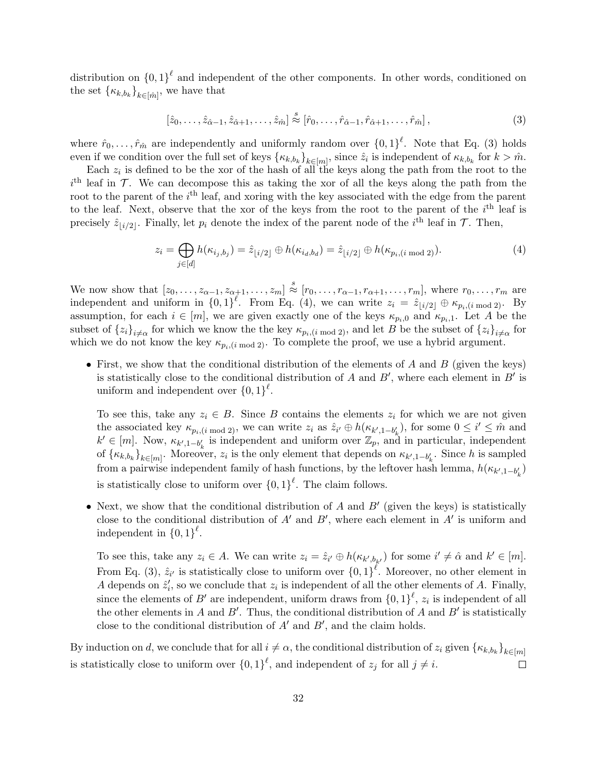distribution on  ${0,1}^{\ell}$  and independent of the other components. In other words, conditioned on the set  $\{\kappa_{k,b_k}\}_{k\in[m]}$ , we have that

<span id="page-31-0"></span>
$$
\left[\hat{z}_0,\ldots,\hat{z}_{\hat{\alpha}-1},\hat{z}_{\hat{\alpha}+1},\ldots,\hat{z}_{\hat{m}}\right] \stackrel{s}{\approx} \left[\hat{r}_0,\ldots,\hat{r}_{\hat{\alpha}-1},\hat{r}_{\hat{\alpha}+1},\ldots,\hat{r}_{\hat{m}}\right],\tag{3}
$$

where  $\hat{r}_0, \ldots, \hat{r}_{\hat{m}}$  are independently and uniformly random over  $\{0,1\}^{\ell}$ . Note that Eq. [\(3\)](#page-31-0) holds even if we condition over the full set of keys  $\{\kappa_{k,b_k}\}_{k \in [m]}$ , since  $\hat{z}_i$  is independent of  $\kappa_{k,b_k}$  for  $k > \hat{m}$ .

Each  $z_i$  is defined to be the xor of the hash of all the keys along the path from the root to the  $i<sup>th</sup>$  leaf in  $\mathcal T$ . We can decompose this as taking the xor of all the keys along the path from the root to the parent of the  $i<sup>th</sup>$  leaf, and xoring with the key associated with the edge from the parent to the leaf. Next, observe that the xor of the keys from the root to the parent of the  $i<sup>th</sup>$  leaf is precisely  $\hat{z}_{i/2}$ . Finally, let  $p_i$  denote the index of the parent node of the i<sup>th</sup> leaf in  $\mathcal{T}$ . Then,

<span id="page-31-1"></span>
$$
z_i = \bigoplus_{j \in [d]} h(\kappa_{i_j, b_j}) = \hat{z}_{\lfloor i/2 \rfloor} \oplus h(\kappa_{i_d, b_d}) = \hat{z}_{\lfloor i/2 \rfloor} \oplus h(\kappa_{p_i, (i \bmod 2)}).
$$
\n(4)

We now show that  $[z_0, \ldots, z_{\alpha-1}, z_{\alpha+1}, \ldots, z_m] \stackrel{s}{\approx} [r_0, \ldots, r_{\alpha-1}, r_{\alpha+1}, \ldots, r_m]$ , where  $r_0, \ldots, r_m$  are independent and uniform in  $\{0,1\}^{\ell}$ . From Eq. [\(4\)](#page-31-1), we can write  $z_i = \hat{z}_{\lfloor i/2 \rfloor} \oplus \kappa_{p_i,(i \bmod 2)}$ . By assumption, for each  $i \in [m]$ , we are given exactly one of the keys  $\kappa_{p_i,0}$  and  $\kappa_{p_i,1}$ . Let A be the subset of  $\{z_i\}_{i\neq\alpha}$  for which we know the the key  $\kappa_{p_i,(i \bmod 2)}$ , and let B be the subset of  $\{z_i\}_{i\neq\alpha}$  for which we do not know the key  $\kappa_{p_i,(i \mod 2)}$ . To complete the proof, we use a hybrid argument.

• First, we show that the conditional distribution of the elements of  $A$  and  $B$  (given the keys) is statistically close to the conditional distribution of A and  $B'$ , where each element in  $B'$  is uniform and independent over  $\{0,1\}^{\ell}$ .

To see this, take any  $z_i \in B$ . Since B contains the elements  $z_i$  for which we are not given the associated key  $\kappa_{p_i,(i \mod 2)}$ , we can write  $z_i$  as  $\hat{z}_{i'} \oplus h(\kappa_{k',1-b'_k})$ , for some  $0 \leq i' \leq \hat{m}$  and  $k' \in [m]$ . Now,  $\kappa_{k',1-b'_k}$  is independent and uniform over  $\mathbb{Z}_p$ , and in particular, independent of  $\{\kappa_{k,b_k}\}_{k\in[m]}$ . Moreover,  $z_i$  is the only element that depends on  $\kappa_{k',1-b'_k}$ . Since h is sampled from a pairwise independent family of hash functions, by the leftover hash lemma,  $h(\kappa_{k',1-b'_k})$ is statistically close to uniform over  $\{0,1\}^{\ell}$ . The claim follows.

• Next, we show that the conditional distribution of  $A$  and  $B'$  (given the keys) is statistically close to the conditional distribution of  $A'$  and  $B'$ , where each element in  $A'$  is uniform and independent in  $\{0,1\}^{\ell}$ .

To see this, take any  $z_i \in A$ . We can write  $z_i = \hat{z}_{i'} \oplus h(\kappa_{k',b_{k'}})$  for some  $i' \neq \hat{\alpha}$  and  $k' \in [m]$ . From Eq. [\(3\)](#page-31-0),  $\hat{z}_{i'}$  is statistically close to uniform over  $\{0,1\}^{\ell}$ . Moreover, no other element in A depends on  $\hat{z}'_i$ , so we conclude that  $z_i$  is independent of all the other elements of A. Finally, since the elements of  $B'$  are independent, uniform draws from  ${0,1}^{\ell}$ ,  $z_i$  is independent of all the other elements in A and B'. Thus, the conditional distribution of A and B' is statistically close to the conditional distribution of  $A'$  and  $B'$ , and the claim holds.

By induction on d, we conclude that for all  $i \neq \alpha$ , the conditional distribution of  $z_i$  given  $\{\kappa_{k,b_k}\}_{k \in [m]}$ is statistically close to uniform over  $\{0,1\}^{\ell}$ , and independent of  $z_j$  for all  $j \neq i$ .  $\Box$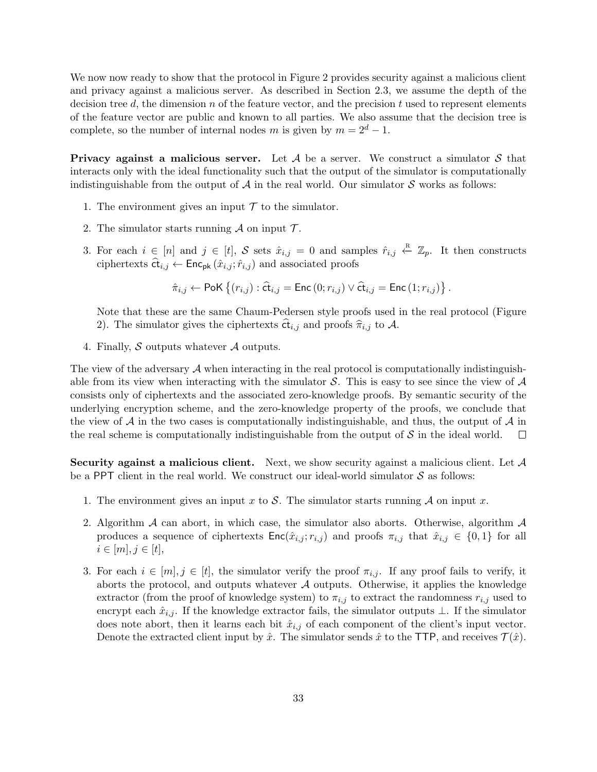We now now ready to show that the protocol in Figure [2](#page-12-0) provides security against a malicious client and privacy against a malicious server. As described in Section [2.3,](#page-4-0) we assume the depth of the decision tree d, the dimension n of the feature vector, and the precision t used to represent elements of the feature vector are public and known to all parties. We also assume that the decision tree is complete, so the number of internal nodes m is given by  $m = 2^d - 1$ .

Privacy against a malicious server. Let  $A$  be a server. We construct a simulator  $S$  that interacts only with the ideal functionality such that the output of the simulator is computationally indistinguishable from the output of  $A$  in the real world. Our simulator  $S$  works as follows:

- 1. The environment gives an input  $\mathcal T$  to the simulator.
- 2. The simulator starts running  $\mathcal A$  on input  $\mathcal T$ .
- 3. For each  $i \in [n]$  and  $j \in [t]$ , S sets  $\hat{x}_{i,j} = 0$  and samples  $\hat{r}_{i,j} \leftarrow \mathbb{Z}_p$ . It then constructs ciphertexts  $\hat{\mathbf{ct}}_{i,j} \leftarrow \mathsf{Enc}_{\mathsf{pk}}(\hat{x}_{i,j}; \hat{r}_{i,j})$  and associated proofs

$$
\hat{\pi}_{i,j} \leftarrow \text{PoK} \left\{ (r_{i,j}) : \hat{\mathbf{ct}}_{i,j} = \text{Enc} \left( 0; r_{i,j} \right) \vee \hat{\mathbf{ct}}_{i,j} = \text{Enc} \left( 1; r_{i,j} \right) \right\}.
$$

Note that these are the same Chaum-Pedersen style proofs used in the real protocol (Figure [2\)](#page-12-0). The simulator gives the ciphertexts  $\hat{\mathsf{ct}}_{i,j}$  and proofs  $\hat{\pi}_{i,j}$  to A.

4. Finally,  $S$  outputs whatever  $A$  outputs.

The view of the adversary  $A$  when interacting in the real protocol is computationally indistinguishable from its view when interacting with the simulator  $\mathcal S$ . This is easy to see since the view of  $\mathcal A$ consists only of ciphertexts and the associated zero-knowledge proofs. By semantic security of the underlying encryption scheme, and the zero-knowledge property of the proofs, we conclude that the view of  $A$  in the two cases is computationally indistinguishable, and thus, the output of  $A$  in the real scheme is computationally indistinguishable from the output of  $\mathcal S$  in the ideal world.  $\Box$ 

Security against a malicious client. Next, we show security against a malicious client. Let  $\mathcal A$ be a PPT client in the real world. We construct our ideal-world simulator  $S$  as follows:

- 1. The environment gives an input x to S. The simulator starts running  $\mathcal A$  on input x.
- <span id="page-32-0"></span>2. Algorithm  $A$  can abort, in which case, the simulator also aborts. Otherwise, algorithm  $A$ produces a sequence of ciphertexts  $Enc(\hat{x}_{i,j}; r_{i,j})$  and proofs  $\pi_{i,j}$  that  $\hat{x}_{i,j} \in \{0,1\}$  for all  $i \in [m], j \in [t],$
- 3. For each  $i \in [m], j \in [t]$ , the simulator verify the proof  $\pi_{i,j}$ . If any proof fails to verify, it aborts the protocol, and outputs whatever  $A$  outputs. Otherwise, it applies the knowledge extractor (from the proof of knowledge system) to  $\pi_{i,j}$  to extract the randomness  $r_{i,j}$  used to encrypt each  $\hat{x}_{i,j}$ . If the knowledge extractor fails, the simulator outputs  $\perp$ . If the simulator does note abort, then it learns each bit  $\hat{x}_{i,j}$  of each component of the client's input vector. Denote the extracted client input by  $\hat{x}$ . The simulator sends  $\hat{x}$  to the TTP, and receives  $\mathcal{T}(\hat{x})$ .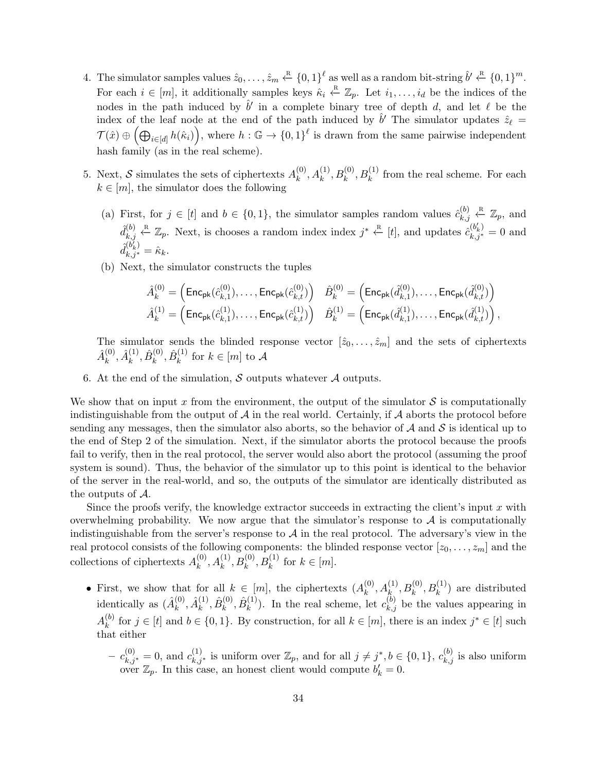- 4. The simulator samples values  $\hat{z}_0, \ldots, \hat{z}_m \stackrel{\text{R}}{\leftarrow} \{0, 1\}^{\ell}$  as well as a random bit-string  $\hat{b}' \stackrel{\text{R}}{\leftarrow} \{0, 1\}^m$ . For each  $i \in [m]$ , it additionally samples keys  $\hat{\kappa}_i \stackrel{\text{R}}{\leftarrow} \mathbb{Z}_p$ . Let  $i_1, \ldots, i_d$  be the indices of the nodes in the path induced by  $\hat{b}'$  in a complete binary tree of depth d, and let  $\ell$  be the index of the leaf node at the end of the path induced by  $\hat{b}'$  The simulator updates  $\hat{z}_\ell$  =  $\mathcal{T}(\hat{x}) \oplus \left( \bigoplus_{i \in [d]} h(\hat{\kappa}_i) \right)$ , where  $h: \mathbb{G} \to \{0,1\}^{\ell}$  is drawn from the same pairwise independent hash family (as in the real scheme).
- 5. Next, S simulates the sets of ciphertexts  $A_k^{(0)}$  $k_k^{(0)}, A_k^{(1)}, B_k^{(0)}, B_k^{(1)}$  from the real scheme. For each  $k \in [m]$ , the simulator does the following
	- (a) First, for  $j \in [t]$  and  $b \in \{0,1\}$ , the simulator samples random values  $\hat{c}_{k,i}^{(b)}$  $\chi_{k,j}^{(b)} \stackrel{\text{R}}{\leftarrow} \mathbb{Z}_p$ , and  $\hat{d}_{k}^{(b)}$  $\mathcal{L}_{k,j}^{(b)} \leftarrow \mathbb{Z}_p$ . Next, is chooses a random index index  $j^* \leftarrow \begin{bmatrix} t \end{bmatrix}$ , and updates  $\hat{c}_{k,j^*}^{(b'_k)} = 0$  and  $\hat{d}^{\dagger}_{i}$ (b  $\check{\prime}$ k )  $\hat{k}_{k,j^*}^{(v_k)} = \hat{\kappa}_k.$
	- (b) Next, the simulator constructs the tuples

$$
\begin{aligned} \hat{A}^{(0)}_k &= \left( \mathsf{Enc}_{\mathsf{pk}}(\hat{c}^{(0)}_{k,1}), \ldots, \mathsf{Enc}_{\mathsf{pk}}(\hat{c}^{(0)}_{k,t}) \right) \quad \hat{B}^{(0)}_k = \left( \mathsf{Enc}_{\mathsf{pk}}(\hat{d}^{(0)}_{k,1}), \ldots, \mathsf{Enc}_{\mathsf{pk}}(\hat{d}^{(0)}_{k,t}) \right) \\ \hat{A}^{(1)}_k &= \left( \mathsf{Enc}_{\mathsf{pk}}(\hat{c}^{(1)}_{k,1}), \ldots, \mathsf{Enc}_{\mathsf{pk}}(\hat{c}^{(1)}_{k,t}) \right) \quad \hat{B}^{(1)}_k = \left( \mathsf{Enc}_{\mathsf{pk}}(\hat{d}^{(1)}_{k,1}), \ldots, \mathsf{Enc}_{\mathsf{pk}}(\hat{d}^{(1)}_{k,t}) \right), \end{aligned}
$$

The simulator sends the blinded response vector  $[\hat{z}_0, \ldots, \hat{z}_m]$  and the sets of ciphertexts  $\hat A_k^{(0)}$  $\overset{(0)}{k}, \hat{A}^{(1)}_k$  $\stackrel{(1)}{k}, \hat B_k^{(0)}$  $\hat{B}^{(0)}_k, \hat{B}^{(1)}_k$  $\binom{1}{k}$  for  $k \in [m]$  to A

6. At the end of the simulation,  $S$  outputs whatever  $A$  outputs.

We show that on input x from the environment, the output of the simulator  $S$  is computationally indistinguishable from the output of  $A$  in the real world. Certainly, if  $A$  aborts the protocol before sending any messages, then the simulator also aborts, so the behavior of  $A$  and  $S$  is identical up to the end of Step [2](#page-32-0) of the simulation. Next, if the simulator aborts the protocol because the proofs fail to verify, then in the real protocol, the server would also abort the protocol (assuming the proof system is sound). Thus, the behavior of the simulator up to this point is identical to the behavior of the server in the real-world, and so, the outputs of the simulator are identically distributed as the outputs of A.

Since the proofs verify, the knowledge extractor succeeds in extracting the client's input  $x$  with overwhelming probability. We now argue that the simulator's response to  $A$  is computationally indistinguishable from the server's response to  $A$  in the real protocol. The adversary's view in the real protocol consists of the following components: the blinded response vector  $[z_0, \ldots, z_m]$  and the collections of ciphertexts  $A_k^{(0)}$  $k^{(0)}, A_k^{(1)}, B_k^{(0)}, B_k^{(1)}$  for  $k \in [m]$ .

- First, we show that for all  $k \in [m]$ , the ciphertexts  $(A_k^{(0)})$  $(k^{(0)}, A_k^{(1)}, B_k^{(0)}, B_k^{(1)})$  are distributed identically as  $(\hat{A}_k^{(0)})$  $\overset{(0)}{k}, \hat{A}^{(1)}_k$  $\overset{(1)}{\scriptstyle k}, \hat B^{(0)}_k$  $\stackrel{(0)}{k}, \hat B^{(1)}_k$  $\binom{1}{k}$ . In the real scheme, let  $c_{k,j}^{(b)}$  be the values appearing in  $A_k^{(b)}$  $\binom{b}{k}$  for  $j \in [t]$  and  $b \in \{0,1\}$ . By construction, for all  $k \in [m]$ , there is an index  $j^* \in [t]$  such that either
	- $(c_k^{(0)})^* = 0$ , and  $c_{k,j^*}^{(1)}$  is uniform over  $\mathbb{Z}_p$ , and for all  $j \neq j^*, b \in \{0,1\}$ ,  $c_{k,j}^{(b)}$  is also uniform over  $\mathbb{Z}_p$ . In this case, an honest client would compute  $b'_k = 0$ .